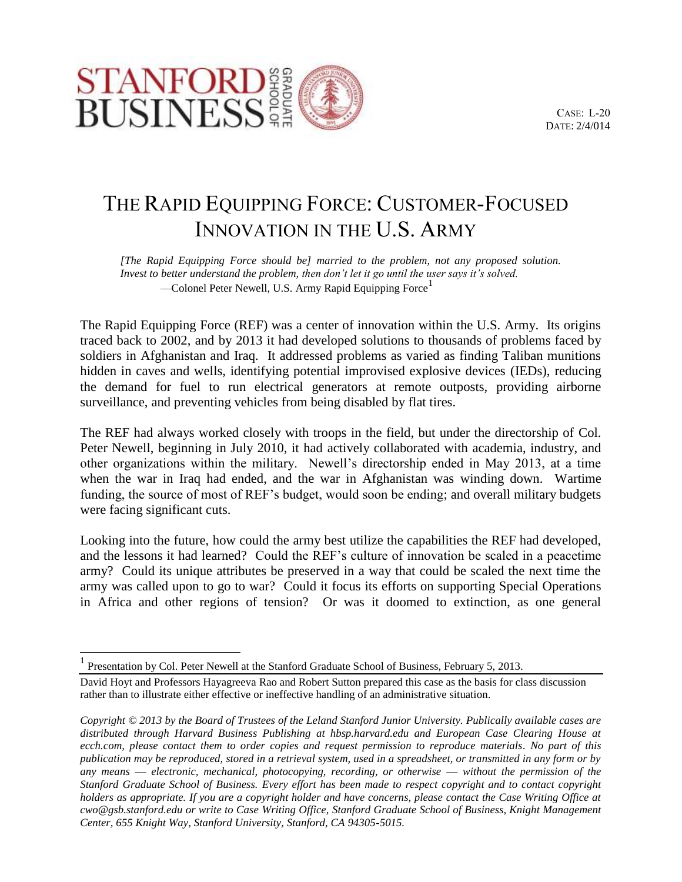CASE: L-20 DATE: 2/4/014



# THE RAPID EQUIPPING FORCE: CUSTOMER-FOCUSED INNOVATION IN THE U.S. ARMY

*[The Rapid Equipping Force should be] married to the problem, not any proposed solution. Invest to better understand the problem, then don't let it go until the user says it's solved.* —Colonel Peter Newell, U.S. Army Rapid Equipping Force<sup>1</sup>

The Rapid Equipping Force (REF) was a center of innovation within the U.S. Army. Its origins traced back to 2002, and by 2013 it had developed solutions to thousands of problems faced by soldiers in Afghanistan and Iraq. It addressed problems as varied as finding Taliban munitions hidden in caves and wells, identifying potential improvised explosive devices (IEDs), reducing the demand for fuel to run electrical generators at remote outposts, providing airborne surveillance, and preventing vehicles from being disabled by flat tires.

The REF had always worked closely with troops in the field, but under the directorship of Col. Peter Newell, beginning in July 2010, it had actively collaborated with academia, industry, and other organizations within the military. Newell's directorship ended in May 2013, at a time when the war in Iraq had ended, and the war in Afghanistan was winding down. Wartime funding, the source of most of REF's budget, would soon be ending; and overall military budgets were facing significant cuts.

Looking into the future, how could the army best utilize the capabilities the REF had developed, and the lessons it had learned? Could the REF's culture of innovation be scaled in a peacetime army? Could its unique attributes be preserved in a way that could be scaled the next time the army was called upon to go to war? Could it focus its efforts on supporting Special Operations in Africa and other regions of tension? Or was it doomed to extinction, as one general

<sup>1</sup> Presentation by Col. Peter Newell at the Stanford Graduate School of Business, February 5, 2013.

David Hoyt and Professors Hayagreeva Rao and Robert Sutton prepared this case as the basis for class discussion rather than to illustrate either effective or ineffective handling of an administrative situation.

*Copyright © 2013 by the Board of Trustees of the Leland Stanford Junior University. Publically available cases are distributed through Harvard Business Publishing at hbsp.harvard.edu and European Case Clearing House at ecch.com, please contact them to order copies and request permission to reproduce materials. No part of this publication may be reproduced, stored in a retrieval system, used in a spreadsheet, or transmitted in any form or by any means –– electronic, mechanical, photocopying, recording, or otherwise –– without the permission of the Stanford Graduate School of Business. Every effort has been made to respect copyright and to contact copyright holders as appropriate. If you are a copyright holder and have concerns, please contact the Case Writing Office at [cwo@gsb.stanford.edu](mailto:CWO@gsb.stanford.edu) or write to Case Writing Office, Stanford Graduate School of Business, Knight Management Center, 655 Knight Way, Stanford University, Stanford, CA 94305-5015.*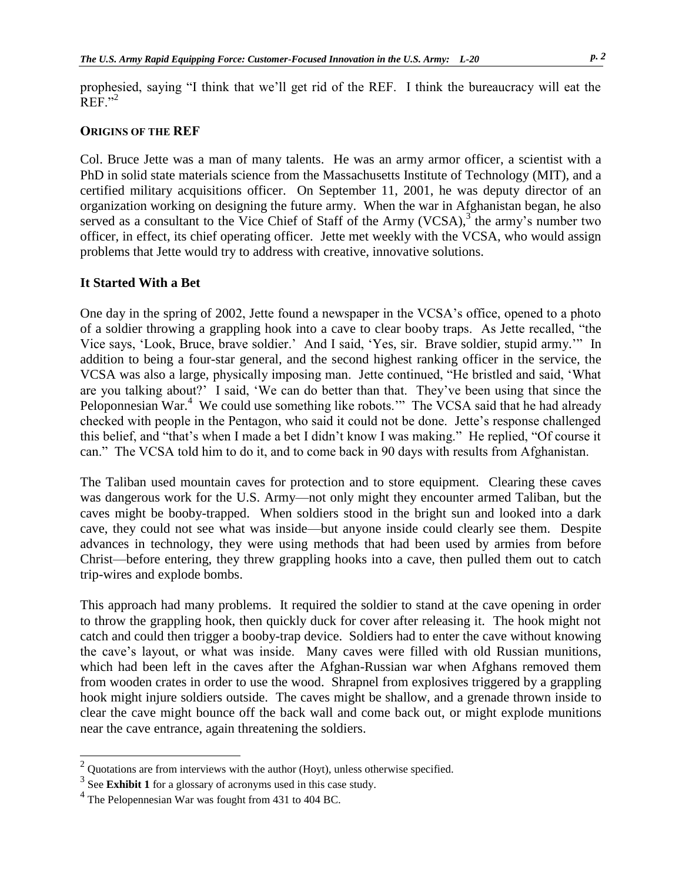prophesied, saying "I think that we'll get rid of the REF. I think the bureaucracy will eat the  $REF$ ."

## **ORIGINS OF THE REF**

Col. Bruce Jette was a man of many talents. He was an army armor officer, a scientist with a PhD in solid state materials science from the Massachusetts Institute of Technology (MIT), and a certified military acquisitions officer. On September 11, 2001, he was deputy director of an organization working on designing the future army. When the war in Afghanistan began, he also served as a consultant to the Vice Chief of Staff of the Army (VCSA), $3$  the army's number two officer, in effect, its chief operating officer. Jette met weekly with the VCSA, who would assign problems that Jette would try to address with creative, innovative solutions.

# **It Started With a Bet**

One day in the spring of 2002, Jette found a newspaper in the VCSA's office, opened to a photo of a soldier throwing a grappling hook into a cave to clear booby traps. As Jette recalled, "the Vice says, 'Look, Bruce, brave soldier.' And I said, 'Yes, sir. Brave soldier, stupid army.'" In addition to being a four-star general, and the second highest ranking officer in the service, the VCSA was also a large, physically imposing man. Jette continued, "He bristled and said, 'What are you talking about?' I said, 'We can do better than that. They've been using that since the Peloponnesian War.<sup>4</sup> We could use something like robots." The VCSA said that he had already checked with people in the Pentagon, who said it could not be done. Jette's response challenged this belief, and "that's when I made a bet I didn't know I was making." He replied, "Of course it can." The VCSA told him to do it, and to come back in 90 days with results from Afghanistan.

The Taliban used mountain caves for protection and to store equipment. Clearing these caves was dangerous work for the U.S. Army—not only might they encounter armed Taliban, but the caves might be booby-trapped. When soldiers stood in the bright sun and looked into a dark cave, they could not see what was inside—but anyone inside could clearly see them. Despite advances in technology, they were using methods that had been used by armies from before Christ—before entering, they threw grappling hooks into a cave, then pulled them out to catch trip-wires and explode bombs.

This approach had many problems. It required the soldier to stand at the cave opening in order to throw the grappling hook, then quickly duck for cover after releasing it. The hook might not catch and could then trigger a booby-trap device. Soldiers had to enter the cave without knowing the cave's layout, or what was inside. Many caves were filled with old Russian munitions, which had been left in the caves after the Afghan-Russian war when Afghans removed them from wooden crates in order to use the wood. Shrapnel from explosives triggered by a grappling hook might injure soldiers outside. The caves might be shallow, and a grenade thrown inside to clear the cave might bounce off the back wall and come back out, or might explode munitions near the cave entrance, again threatening the soldiers.

<sup>&</sup>lt;sup>2</sup> Quotations are from interviews with the author (Hoyt), unless otherwise specified.

<sup>&</sup>lt;sup>3</sup> See **Exhibit 1** for a glossary of acronyms used in this case study.

<sup>4</sup> The Pelopennesian War was fought from 431 to 404 BC.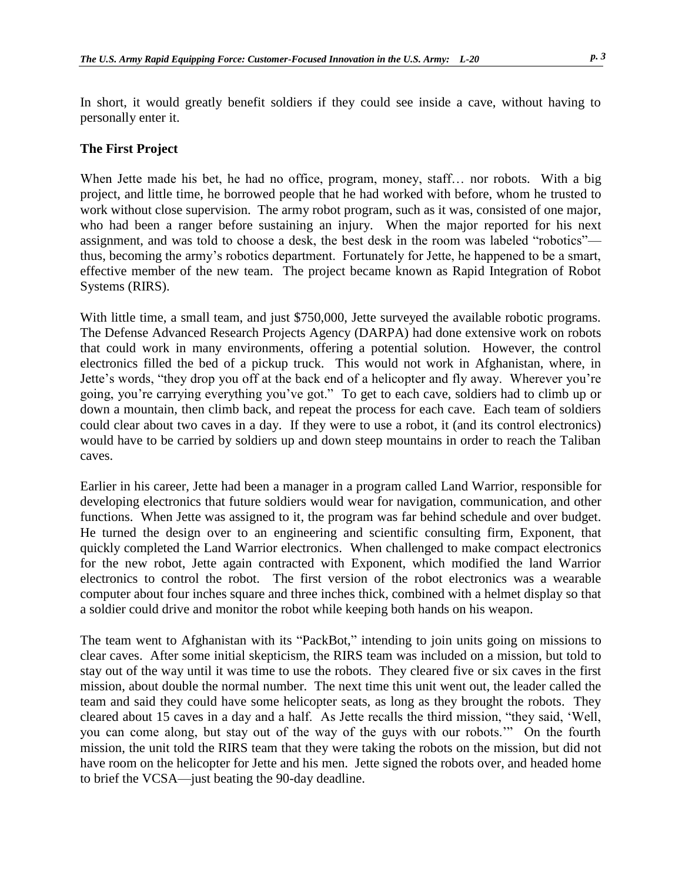In short, it would greatly benefit soldiers if they could see inside a cave, without having to personally enter it.

#### **The First Project**

When Jette made his bet, he had no office, program, money, staff... nor robots. With a big project, and little time, he borrowed people that he had worked with before, whom he trusted to work without close supervision. The army robot program, such as it was, consisted of one major, who had been a ranger before sustaining an injury. When the major reported for his next assignment, and was told to choose a desk, the best desk in the room was labeled "robotics" thus, becoming the army's robotics department. Fortunately for Jette, he happened to be a smart, effective member of the new team. The project became known as Rapid Integration of Robot Systems (RIRS).

With little time, a small team, and just \$750,000, Jette surveyed the available robotic programs. The Defense Advanced Research Projects Agency (DARPA) had done extensive work on robots that could work in many environments, offering a potential solution. However, the control electronics filled the bed of a pickup truck. This would not work in Afghanistan, where, in Jette's words, "they drop you off at the back end of a helicopter and fly away. Wherever you're going, you're carrying everything you've got." To get to each cave, soldiers had to climb up or down a mountain, then climb back, and repeat the process for each cave. Each team of soldiers could clear about two caves in a day. If they were to use a robot, it (and its control electronics) would have to be carried by soldiers up and down steep mountains in order to reach the Taliban caves.

Earlier in his career, Jette had been a manager in a program called Land Warrior, responsible for developing electronics that future soldiers would wear for navigation, communication, and other functions. When Jette was assigned to it, the program was far behind schedule and over budget. He turned the design over to an engineering and scientific consulting firm, Exponent, that quickly completed the Land Warrior electronics. When challenged to make compact electronics for the new robot, Jette again contracted with Exponent, which modified the land Warrior electronics to control the robot. The first version of the robot electronics was a wearable computer about four inches square and three inches thick, combined with a helmet display so that a soldier could drive and monitor the robot while keeping both hands on his weapon.

The team went to Afghanistan with its "PackBot," intending to join units going on missions to clear caves. After some initial skepticism, the RIRS team was included on a mission, but told to stay out of the way until it was time to use the robots. They cleared five or six caves in the first mission, about double the normal number. The next time this unit went out, the leader called the team and said they could have some helicopter seats, as long as they brought the robots. They cleared about 15 caves in a day and a half. As Jette recalls the third mission, "they said, 'Well, you can come along, but stay out of the way of the guys with our robots.'" On the fourth mission, the unit told the RIRS team that they were taking the robots on the mission, but did not have room on the helicopter for Jette and his men. Jette signed the robots over, and headed home to brief the VCSA—just beating the 90-day deadline.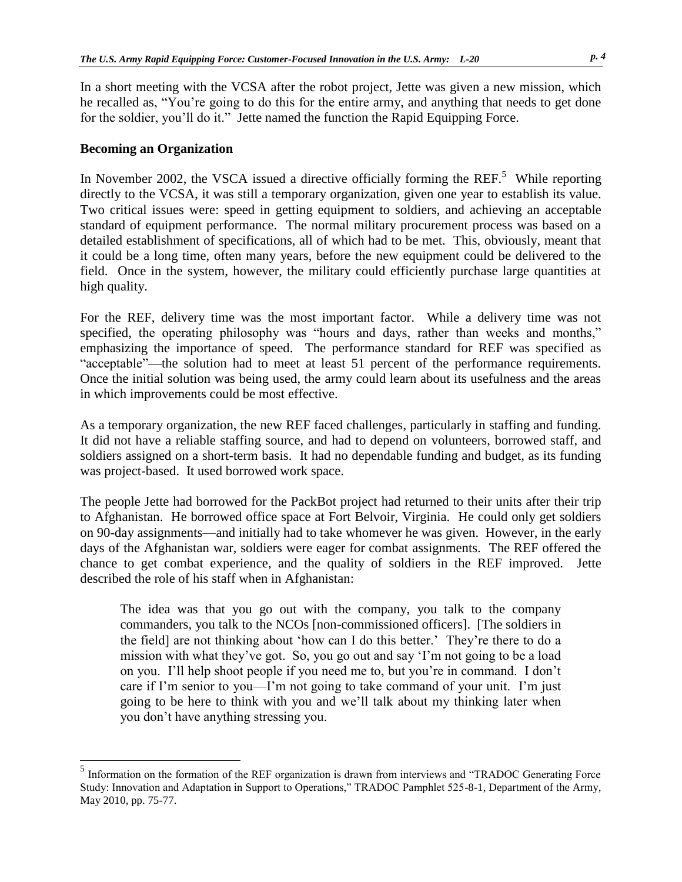In a short meeting with the VCSA after the robot project, Jette was given a new mission, which he recalled as, "You're going to do this for the entire army, and anything that needs to get done for the soldier, you'll do it." Jette named the function the Rapid Equipping Force.

#### **Becoming an Organization**

 $\overline{a}$ 

In November 2002, the VSCA issued a directive officially forming the  $REF^5$ . While reporting directly to the VCSA, it was still a temporary organization, given one year to establish its value. Two critical issues were: speed in getting equipment to soldiers, and achieving an acceptable standard of equipment performance. The normal military procurement process was based on a detailed establishment of specifications, all of which had to be met. This, obviously, meant that it could be a long time, often many years, before the new equipment could be delivered to the field. Once in the system, however, the military could efficiently purchase large quantities at high quality.

For the REF, delivery time was the most important factor. While a delivery time was not specified, the operating philosophy was "hours and days, rather than weeks and months," emphasizing the importance of speed. The performance standard for REF was specified as "acceptable"—the solution had to meet at least 51 percent of the performance requirements. Once the initial solution was being used, the army could learn about its usefulness and the areas in which improvements could be most effective.

As a temporary organization, the new REF faced challenges, particularly in staffing and funding. It did not have a reliable staffing source, and had to depend on volunteers, borrowed staff, and soldiers assigned on a short-term basis. It had no dependable funding and budget, as its funding was project-based. It used borrowed work space.

The people Jette had borrowed for the PackBot project had returned to their units after their trip to Afghanistan. He borrowed office space at Fort Belvoir, Virginia. He could only get soldiers on 90-day assignments—and initially had to take whomever he was given. However, in the early days of the Afghanistan war, soldiers were eager for combat assignments. The REF offered the chance to get combat experience, and the quality of soldiers in the REF improved. Jette described the role of his staff when in Afghanistan:

The idea was that you go out with the company, you talk to the company commanders, you talk to the NCOs [non-commissioned officers]. [The soldiers in the field] are not thinking about 'how can I do this better.' They're there to do a mission with what they've got. So, you go out and say 'I'm not going to be a load on you. I'll help shoot people if you need me to, but you're in command. I don't care if I'm senior to you—I'm not going to take command of your unit. I'm just going to be here to think with you and we'll talk about my thinking later when you don't have anything stressing you.

<sup>&</sup>lt;sup>5</sup> Information on the formation of the REF organization is drawn from interviews and "TRADOC Generating Force Study: Innovation and Adaptation in Support to Operations," TRADOC Pamphlet 525-8-1, Department of the Army, May 2010, pp. 75-77.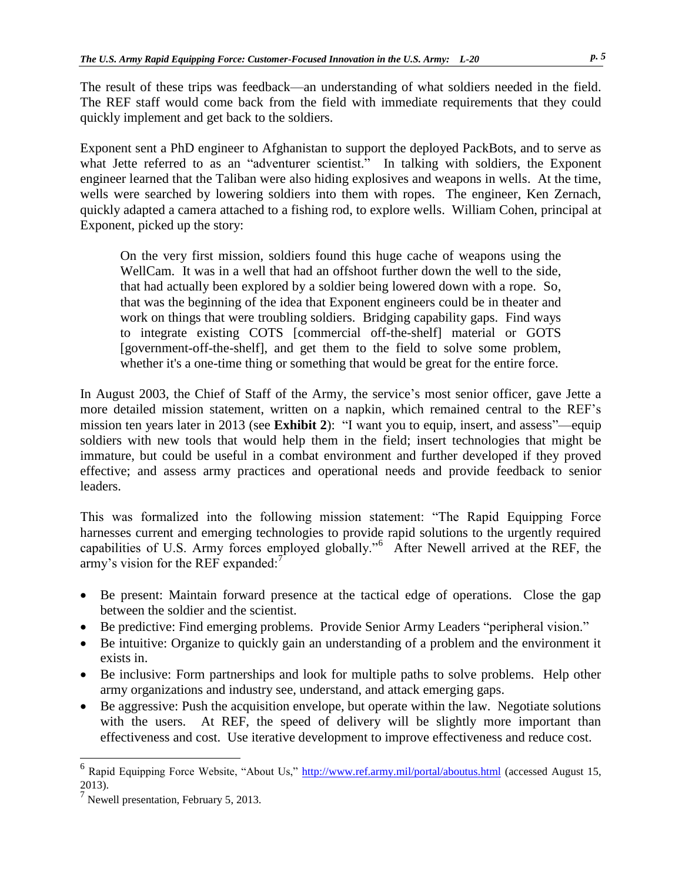The result of these trips was feedback—an understanding of what soldiers needed in the field. The REF staff would come back from the field with immediate requirements that they could quickly implement and get back to the soldiers.

Exponent sent a PhD engineer to Afghanistan to support the deployed PackBots, and to serve as what Jette referred to as an "adventurer scientist." In talking with soldiers, the Exponent engineer learned that the Taliban were also hiding explosives and weapons in wells. At the time, wells were searched by lowering soldiers into them with ropes. The engineer, Ken Zernach, quickly adapted a camera attached to a fishing rod, to explore wells. William Cohen, principal at Exponent, picked up the story:

On the very first mission, soldiers found this huge cache of weapons using the WellCam. It was in a well that had an offshoot further down the well to the side, that had actually been explored by a soldier being lowered down with a rope. So, that was the beginning of the idea that Exponent engineers could be in theater and work on things that were troubling soldiers. Bridging capability gaps. Find ways to integrate existing COTS [commercial off-the-shelf] material or GOTS [government-off-the-shelf], and get them to the field to solve some problem, whether it's a one-time thing or something that would be great for the entire force.

In August 2003, the Chief of Staff of the Army, the service's most senior officer, gave Jette a more detailed mission statement, written on a napkin, which remained central to the REF's mission ten years later in 2013 (see **Exhibit 2**): "I want you to equip, insert, and assess"—equip soldiers with new tools that would help them in the field; insert technologies that might be immature, but could be useful in a combat environment and further developed if they proved effective; and assess army practices and operational needs and provide feedback to senior leaders.

This was formalized into the following mission statement: "The Rapid Equipping Force harnesses current and emerging technologies to provide rapid solutions to the urgently required capabilities of U.S. Army forces employed globally."<sup>6</sup> After Newell arrived at the REF, the army's vision for the REF expanded:<sup>7</sup>

- Be present: Maintain forward presence at the tactical edge of operations. Close the gap between the soldier and the scientist.
- Be predictive: Find emerging problems. Provide Senior Army Leaders "peripheral vision."
- Be intuitive: Organize to quickly gain an understanding of a problem and the environment it exists in.
- Be inclusive: Form partnerships and look for multiple paths to solve problems. Help other army organizations and industry see, understand, and attack emerging gaps.
- Be aggressive: Push the acquisition envelope, but operate within the law. Negotiate solutions with the users. At REF, the speed of delivery will be slightly more important than effectiveness and cost. Use iterative development to improve effectiveness and reduce cost.

<sup>6</sup> Rapid Equipping Force Website, "About Us,"<http://www.ref.army.mil/portal/aboutus.html> (accessed August 15, 2013).

 $^7$  Newell presentation, February 5, 2013.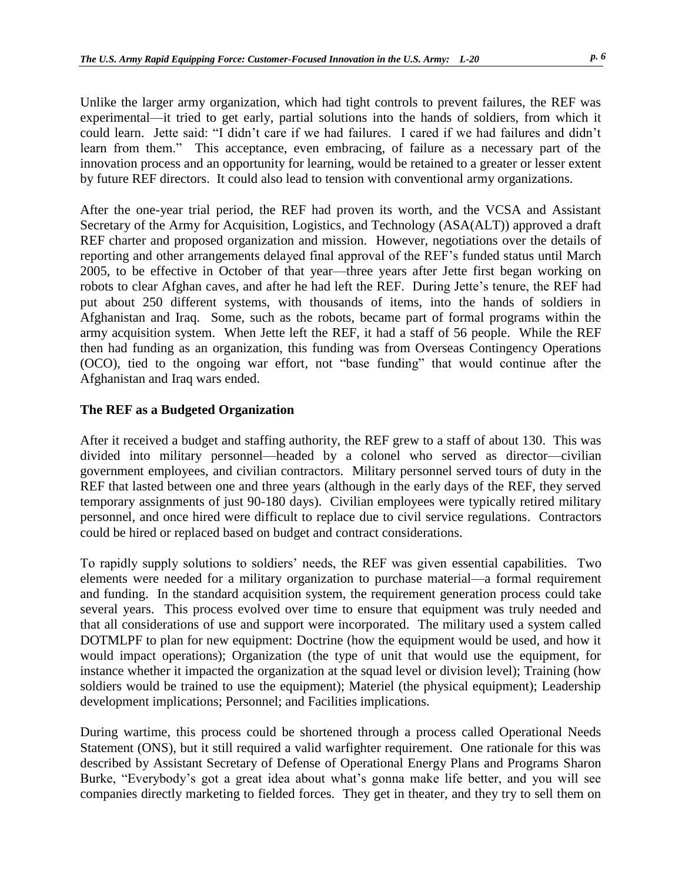Unlike the larger army organization, which had tight controls to prevent failures, the REF was experimental—it tried to get early, partial solutions into the hands of soldiers, from which it could learn. Jette said: "I didn't care if we had failures. I cared if we had failures and didn't learn from them." This acceptance, even embracing, of failure as a necessary part of the innovation process and an opportunity for learning, would be retained to a greater or lesser extent by future REF directors. It could also lead to tension with conventional army organizations.

After the one-year trial period, the REF had proven its worth, and the VCSA and Assistant Secretary of the Army for Acquisition, Logistics, and Technology (ASA(ALT)) approved a draft REF charter and proposed organization and mission. However, negotiations over the details of reporting and other arrangements delayed final approval of the REF's funded status until March 2005, to be effective in October of that year—three years after Jette first began working on robots to clear Afghan caves, and after he had left the REF. During Jette's tenure, the REF had put about 250 different systems, with thousands of items, into the hands of soldiers in Afghanistan and Iraq. Some, such as the robots, became part of formal programs within the army acquisition system. When Jette left the REF, it had a staff of 56 people. While the REF then had funding as an organization, this funding was from Overseas Contingency Operations (OCO), tied to the ongoing war effort, not "base funding" that would continue after the Afghanistan and Iraq wars ended.

## **The REF as a Budgeted Organization**

After it received a budget and staffing authority, the REF grew to a staff of about 130. This was divided into military personnel—headed by a colonel who served as director—civilian government employees, and civilian contractors. Military personnel served tours of duty in the REF that lasted between one and three years (although in the early days of the REF, they served temporary assignments of just 90-180 days). Civilian employees were typically retired military personnel, and once hired were difficult to replace due to civil service regulations. Contractors could be hired or replaced based on budget and contract considerations.

To rapidly supply solutions to soldiers' needs, the REF was given essential capabilities. Two elements were needed for a military organization to purchase material—a formal requirement and funding. In the standard acquisition system, the requirement generation process could take several years. This process evolved over time to ensure that equipment was truly needed and that all considerations of use and support were incorporated. The military used a system called DOTMLPF to plan for new equipment: Doctrine (how the equipment would be used, and how it would impact operations); Organization (the type of unit that would use the equipment, for instance whether it impacted the organization at the squad level or division level); Training (how soldiers would be trained to use the equipment); Materiel (the physical equipment); Leadership development implications; Personnel; and Facilities implications.

During wartime, this process could be shortened through a process called Operational Needs Statement (ONS), but it still required a valid warfighter requirement. One rationale for this was described by Assistant Secretary of Defense of Operational Energy Plans and Programs Sharon Burke, "Everybody's got a great idea about what's gonna make life better, and you will see companies directly marketing to fielded forces. They get in theater, and they try to sell them on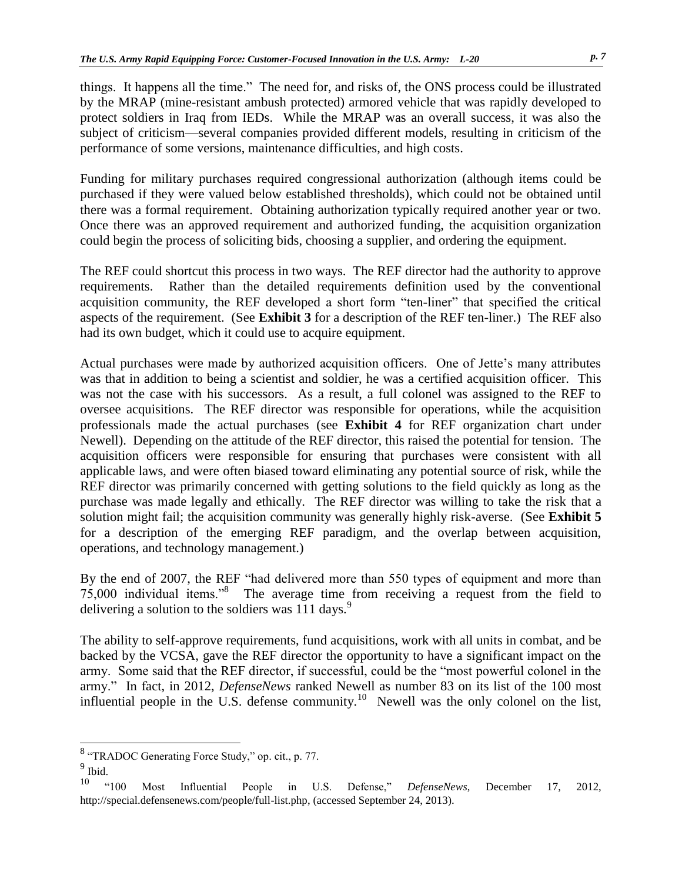things. It happens all the time." The need for, and risks of, the ONS process could be illustrated by the MRAP (mine-resistant ambush protected) armored vehicle that was rapidly developed to protect soldiers in Iraq from IEDs. While the MRAP was an overall success, it was also the subject of criticism—several companies provided different models, resulting in criticism of the performance of some versions, maintenance difficulties, and high costs.

Funding for military purchases required congressional authorization (although items could be purchased if they were valued below established thresholds), which could not be obtained until there was a formal requirement. Obtaining authorization typically required another year or two. Once there was an approved requirement and authorized funding, the acquisition organization could begin the process of soliciting bids, choosing a supplier, and ordering the equipment.

The REF could shortcut this process in two ways. The REF director had the authority to approve requirements. Rather than the detailed requirements definition used by the conventional acquisition community, the REF developed a short form "ten-liner" that specified the critical aspects of the requirement. (See **Exhibit 3** for a description of the REF ten-liner.) The REF also had its own budget, which it could use to acquire equipment.

Actual purchases were made by authorized acquisition officers. One of Jette's many attributes was that in addition to being a scientist and soldier, he was a certified acquisition officer. This was not the case with his successors. As a result, a full colonel was assigned to the REF to oversee acquisitions. The REF director was responsible for operations, while the acquisition professionals made the actual purchases (see **Exhibit 4** for REF organization chart under Newell). Depending on the attitude of the REF director, this raised the potential for tension. The acquisition officers were responsible for ensuring that purchases were consistent with all applicable laws, and were often biased toward eliminating any potential source of risk, while the REF director was primarily concerned with getting solutions to the field quickly as long as the purchase was made legally and ethically. The REF director was willing to take the risk that a solution might fail; the acquisition community was generally highly risk-averse. (See **Exhibit 5** for a description of the emerging REF paradigm, and the overlap between acquisition, operations, and technology management.)

By the end of 2007, the REF "had delivered more than 550 types of equipment and more than 75,000 individual items."<sup>8</sup> The average time from receiving a request from the field to delivering a solution to the soldiers was  $111$  days.<sup>9</sup>

The ability to self-approve requirements, fund acquisitions, work with all units in combat, and be backed by the VCSA, gave the REF director the opportunity to have a significant impact on the army. Some said that the REF director, if successful, could be the "most powerful colonel in the army." In fact, in 2012, *DefenseNews* ranked Newell as number 83 on its list of the 100 most influential people in the U.S. defense community.<sup>10</sup> Newell was the only colonel on the list,

<sup>&</sup>lt;sup>8</sup> "TRADOC Generating Force Study," op. cit., p. 77.

<sup>&</sup>lt;sup>9</sup> Ibid.

<sup>10</sup> "100 Most Influential People in U.S. Defense," *DefenseNews*, December 17, 2012, http://special.defensenews.com/people/full-list.php, (accessed September 24, 2013).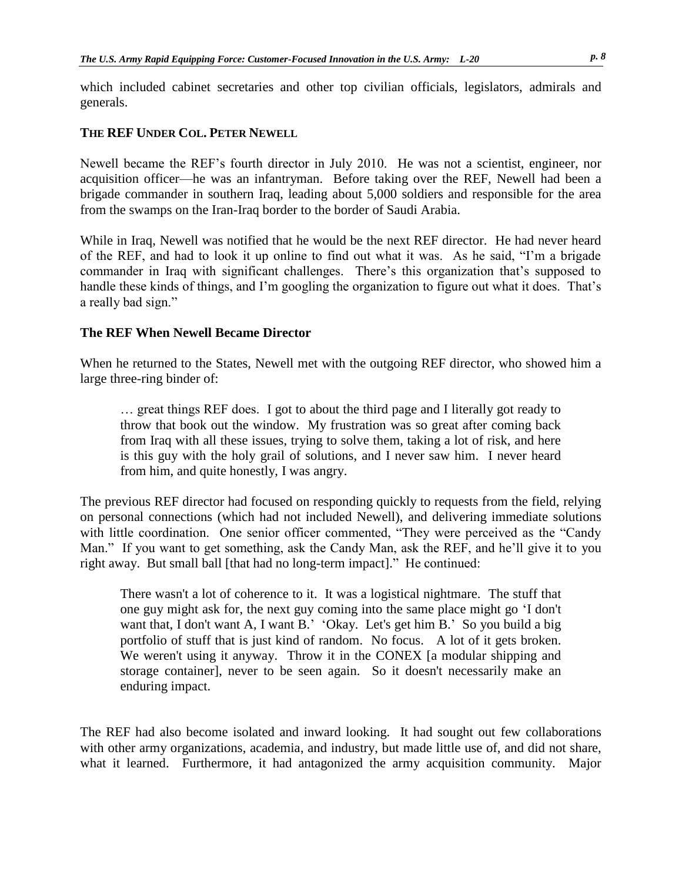which included cabinet secretaries and other top civilian officials, legislators, admirals and generals.

#### **THE REF UNDER COL. PETER NEWELL**

Newell became the REF's fourth director in July 2010. He was not a scientist, engineer, nor acquisition officer—he was an infantryman. Before taking over the REF, Newell had been a brigade commander in southern Iraq, leading about 5,000 soldiers and responsible for the area from the swamps on the Iran-Iraq border to the border of Saudi Arabia.

While in Iraq, Newell was notified that he would be the next REF director. He had never heard of the REF, and had to look it up online to find out what it was. As he said, "I'm a brigade commander in Iraq with significant challenges. There's this organization that's supposed to handle these kinds of things, and I'm googling the organization to figure out what it does. That's a really bad sign."

#### **The REF When Newell Became Director**

When he returned to the States, Newell met with the outgoing REF director, who showed him a large three-ring binder of:

… great things REF does. I got to about the third page and I literally got ready to throw that book out the window. My frustration was so great after coming back from Iraq with all these issues, trying to solve them, taking a lot of risk, and here is this guy with the holy grail of solutions, and I never saw him. I never heard from him, and quite honestly, I was angry.

The previous REF director had focused on responding quickly to requests from the field, relying on personal connections (which had not included Newell), and delivering immediate solutions with little coordination. One senior officer commented, "They were perceived as the "Candy Man." If you want to get something, ask the Candy Man, ask the REF, and he'll give it to you right away. But small ball [that had no long-term impact]." He continued:

There wasn't a lot of coherence to it. It was a logistical nightmare. The stuff that one guy might ask for, the next guy coming into the same place might go 'I don't want that, I don't want A, I want B.' 'Okay. Let's get him B.' So you build a big portfolio of stuff that is just kind of random. No focus. A lot of it gets broken. We weren't using it anyway. Throw it in the CONEX [a modular shipping and storage container], never to be seen again. So it doesn't necessarily make an enduring impact.

The REF had also become isolated and inward looking. It had sought out few collaborations with other army organizations, academia, and industry, but made little use of, and did not share, what it learned. Furthermore, it had antagonized the army acquisition community. Major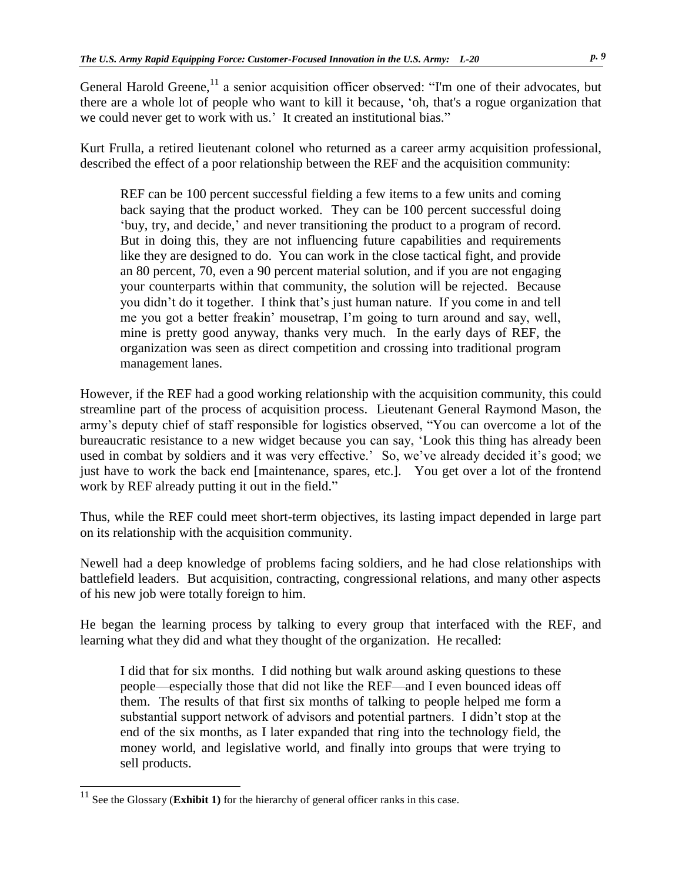General Harold Greene,<sup>11</sup> a senior acquisition officer observed: "I'm one of their advocates, but there are a whole lot of people who want to kill it because, 'oh, that's a rogue organization that we could never get to work with us.' It created an institutional bias."

Kurt Frulla, a retired lieutenant colonel who returned as a career army acquisition professional, described the effect of a poor relationship between the REF and the acquisition community:

REF can be 100 percent successful fielding a few items to a few units and coming back saying that the product worked. They can be 100 percent successful doing 'buy, try, and decide,' and never transitioning the product to a program of record. But in doing this, they are not influencing future capabilities and requirements like they are designed to do. You can work in the close tactical fight, and provide an 80 percent, 70, even a 90 percent material solution, and if you are not engaging your counterparts within that community, the solution will be rejected. Because you didn't do it together. I think that's just human nature. If you come in and tell me you got a better freakin' mousetrap, I'm going to turn around and say, well, mine is pretty good anyway, thanks very much. In the early days of REF, the organization was seen as direct competition and crossing into traditional program management lanes.

However, if the REF had a good working relationship with the acquisition community, this could streamline part of the process of acquisition process. Lieutenant General Raymond Mason, the army's deputy chief of staff responsible for logistics observed, "You can overcome a lot of the bureaucratic resistance to a new widget because you can say, 'Look this thing has already been used in combat by soldiers and it was very effective.' So, we've already decided it's good; we just have to work the back end [maintenance, spares, etc.]. You get over a lot of the frontend work by REF already putting it out in the field."

Thus, while the REF could meet short-term objectives, its lasting impact depended in large part on its relationship with the acquisition community.

Newell had a deep knowledge of problems facing soldiers, and he had close relationships with battlefield leaders. But acquisition, contracting, congressional relations, and many other aspects of his new job were totally foreign to him.

He began the learning process by talking to every group that interfaced with the REF, and learning what they did and what they thought of the organization. He recalled:

I did that for six months. I did nothing but walk around asking questions to these people—especially those that did not like the REF—and I even bounced ideas off them. The results of that first six months of talking to people helped me form a substantial support network of advisors and potential partners. I didn't stop at the end of the six months, as I later expanded that ring into the technology field, the money world, and legislative world, and finally into groups that were trying to sell products.

<sup>&</sup>lt;sup>11</sup> See the Glossary (**Exhibit 1**) for the hierarchy of general officer ranks in this case.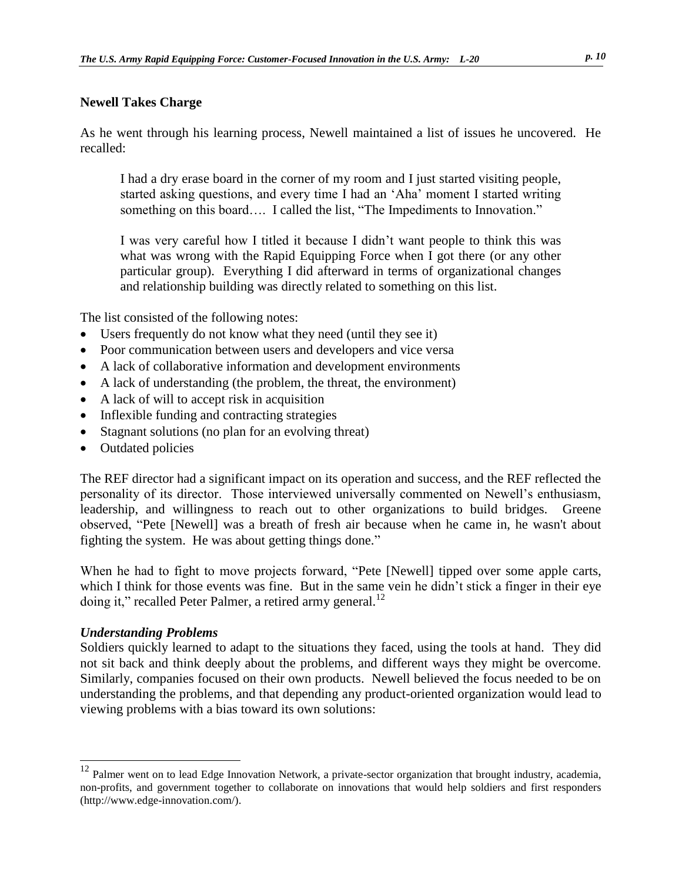#### **Newell Takes Charge**

As he went through his learning process, Newell maintained a list of issues he uncovered. He recalled:

I had a dry erase board in the corner of my room and I just started visiting people, started asking questions, and every time I had an 'Aha' moment I started writing something on this board.... I called the list, "The Impediments to Innovation."

I was very careful how I titled it because I didn't want people to think this was what was wrong with the Rapid Equipping Force when I got there (or any other particular group). Everything I did afterward in terms of organizational changes and relationship building was directly related to something on this list.

The list consisted of the following notes:

- Users frequently do not know what they need (until they see it)
- Poor communication between users and developers and vice versa
- A lack of collaborative information and development environments
- A lack of understanding (the problem, the threat, the environment)
- A lack of will to accept risk in acquisition
- Inflexible funding and contracting strategies
- Stagnant solutions (no plan for an evolving threat)
- Outdated policies

The REF director had a significant impact on its operation and success, and the REF reflected the personality of its director. Those interviewed universally commented on Newell's enthusiasm, leadership, and willingness to reach out to other organizations to build bridges. Greene observed, "Pete [Newell] was a breath of fresh air because when he came in, he wasn't about fighting the system. He was about getting things done."

When he had to fight to move projects forward, "Pete [Newell] tipped over some apple carts, which I think for those events was fine. But in the same vein he didn't stick a finger in their eye doing it," recalled Peter Palmer, a retired army general.<sup>12</sup>

#### *Understanding Problems*

 $\overline{a}$ 

Soldiers quickly learned to adapt to the situations they faced, using the tools at hand. They did not sit back and think deeply about the problems, and different ways they might be overcome. Similarly, companies focused on their own products. Newell believed the focus needed to be on understanding the problems, and that depending any product-oriented organization would lead to viewing problems with a bias toward its own solutions:

<sup>&</sup>lt;sup>12</sup> Palmer went on to lead Edge Innovation Network, a private-sector organization that brought industry, academia, non-profits, and government together to collaborate on innovations that would help soldiers and first responders (http://www.edge-innovation.com/).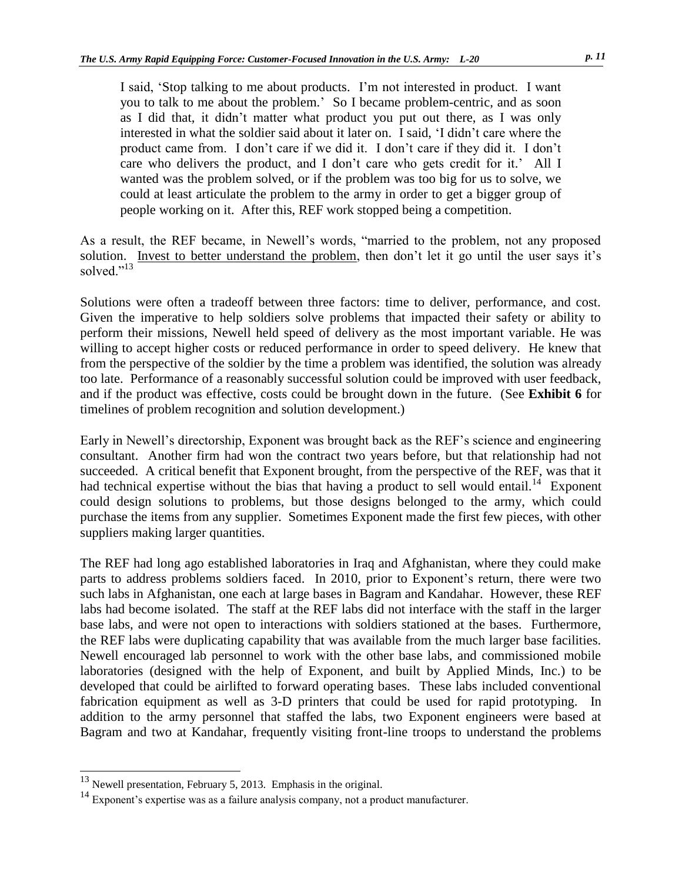I said, 'Stop talking to me about products. I'm not interested in product. I want you to talk to me about the problem.' So I became problem-centric, and as soon as I did that, it didn't matter what product you put out there, as I was only interested in what the soldier said about it later on. I said, 'I didn't care where the product came from. I don't care if we did it. I don't care if they did it. I don't care who delivers the product, and I don't care who gets credit for it.' All I wanted was the problem solved, or if the problem was too big for us to solve, we could at least articulate the problem to the army in order to get a bigger group of people working on it. After this, REF work stopped being a competition.

As a result, the REF became, in Newell's words, "married to the problem, not any proposed solution. Invest to better understand the problem, then don't let it go until the user says it's solved."<sup>13</sup>

Solutions were often a tradeoff between three factors: time to deliver, performance, and cost. Given the imperative to help soldiers solve problems that impacted their safety or ability to perform their missions, Newell held speed of delivery as the most important variable. He was willing to accept higher costs or reduced performance in order to speed delivery. He knew that from the perspective of the soldier by the time a problem was identified, the solution was already too late. Performance of a reasonably successful solution could be improved with user feedback, and if the product was effective, costs could be brought down in the future. (See **Exhibit 6** for timelines of problem recognition and solution development.)

Early in Newell's directorship, Exponent was brought back as the REF's science and engineering consultant. Another firm had won the contract two years before, but that relationship had not succeeded. A critical benefit that Exponent brought, from the perspective of the REF, was that it had technical expertise without the bias that having a product to sell would entail.<sup>14</sup> Exponent could design solutions to problems, but those designs belonged to the army, which could purchase the items from any supplier. Sometimes Exponent made the first few pieces, with other suppliers making larger quantities.

The REF had long ago established laboratories in Iraq and Afghanistan, where they could make parts to address problems soldiers faced. In 2010, prior to Exponent's return, there were two such labs in Afghanistan, one each at large bases in Bagram and Kandahar. However, these REF labs had become isolated. The staff at the REF labs did not interface with the staff in the larger base labs, and were not open to interactions with soldiers stationed at the bases. Furthermore, the REF labs were duplicating capability that was available from the much larger base facilities. Newell encouraged lab personnel to work with the other base labs, and commissioned mobile laboratories (designed with the help of Exponent, and built by Applied Minds, Inc.) to be developed that could be airlifted to forward operating bases. These labs included conventional fabrication equipment as well as 3-D printers that could be used for rapid prototyping. In addition to the army personnel that staffed the labs, two Exponent engineers were based at Bagram and two at Kandahar, frequently visiting front-line troops to understand the problems

 $13$  Newell presentation, February 5, 2013. Emphasis in the original.

<sup>&</sup>lt;sup>14</sup> Exponent's expertise was as a failure analysis company, not a product manufacturer.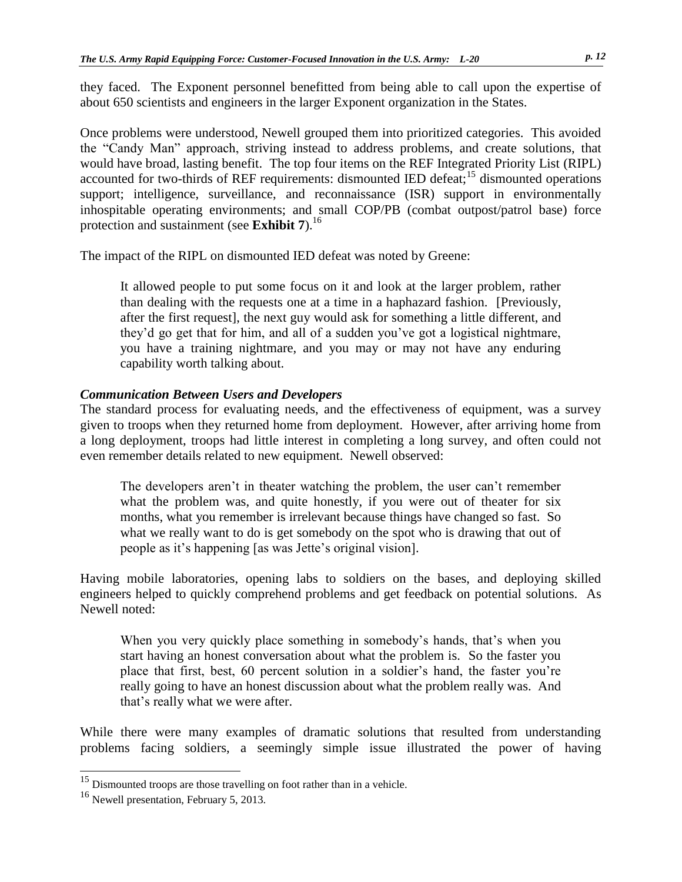they faced. The Exponent personnel benefitted from being able to call upon the expertise of about 650 scientists and engineers in the larger Exponent organization in the States.

Once problems were understood, Newell grouped them into prioritized categories. This avoided the "Candy Man" approach, striving instead to address problems, and create solutions, that would have broad, lasting benefit. The top four items on the REF Integrated Priority List (RIPL) accounted for two-thirds of REF requirements: dismounted IED defeat;<sup>15</sup> dismounted operations support; intelligence, surveillance, and reconnaissance (ISR) support in environmentally inhospitable operating environments; and small COP/PB (combat outpost/patrol base) force protection and sustainment (see **Exhibit 7**). 16

The impact of the RIPL on dismounted IED defeat was noted by Greene:

It allowed people to put some focus on it and look at the larger problem, rather than dealing with the requests one at a time in a haphazard fashion. [Previously, after the first request], the next guy would ask for something a little different, and they'd go get that for him, and all of a sudden you've got a logistical nightmare, you have a training nightmare, and you may or may not have any enduring capability worth talking about.

## *Communication Between Users and Developers*

The standard process for evaluating needs, and the effectiveness of equipment, was a survey given to troops when they returned home from deployment. However, after arriving home from a long deployment, troops had little interest in completing a long survey, and often could not even remember details related to new equipment. Newell observed:

The developers aren't in theater watching the problem, the user can't remember what the problem was, and quite honestly, if you were out of theater for six months, what you remember is irrelevant because things have changed so fast. So what we really want to do is get somebody on the spot who is drawing that out of people as it's happening [as was Jette's original vision].

Having mobile laboratories, opening labs to soldiers on the bases, and deploying skilled engineers helped to quickly comprehend problems and get feedback on potential solutions. As Newell noted:

When you very quickly place something in somebody's hands, that's when you start having an honest conversation about what the problem is. So the faster you place that first, best, 60 percent solution in a soldier's hand, the faster you're really going to have an honest discussion about what the problem really was. And that's really what we were after.

While there were many examples of dramatic solutions that resulted from understanding problems facing soldiers, a seemingly simple issue illustrated the power of having

 $15$  Dismounted troops are those travelling on foot rather than in a vehicle.

<sup>&</sup>lt;sup>16</sup> Newell presentation, February 5, 2013.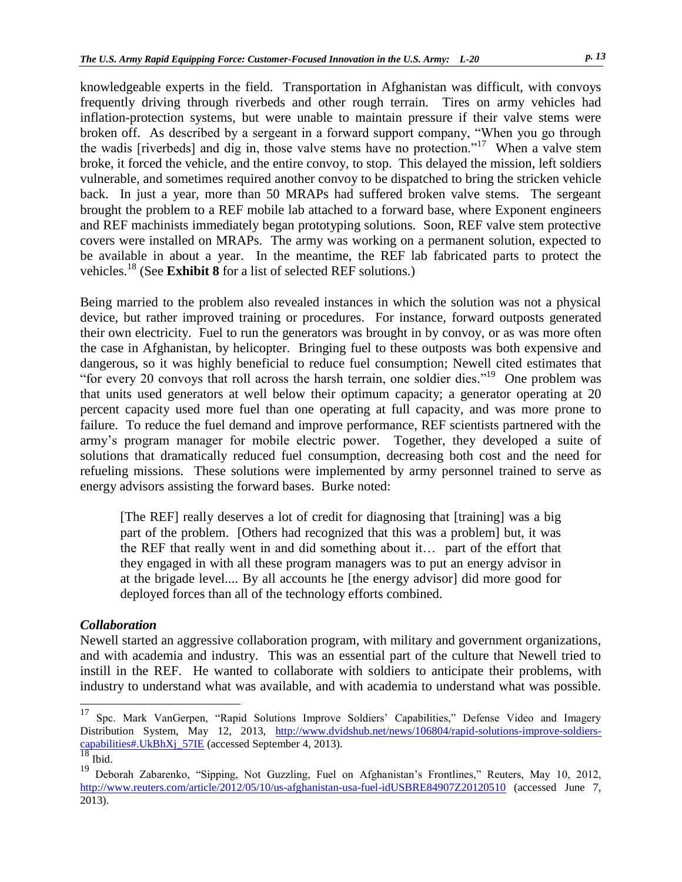knowledgeable experts in the field. Transportation in Afghanistan was difficult, with convoys frequently driving through riverbeds and other rough terrain. Tires on army vehicles had inflation-protection systems, but were unable to maintain pressure if their valve stems were broken off. As described by a sergeant in a forward support company, "When you go through the wadis [riverbeds] and dig in, those valve stems have no protection."<sup>17</sup> When a valve stem broke, it forced the vehicle, and the entire convoy, to stop. This delayed the mission, left soldiers vulnerable, and sometimes required another convoy to be dispatched to bring the stricken vehicle back. In just a year, more than 50 MRAPs had suffered broken valve stems. The sergeant brought the problem to a REF mobile lab attached to a forward base, where Exponent engineers and REF machinists immediately began prototyping solutions. Soon, REF valve stem protective covers were installed on MRAPs. The army was working on a permanent solution, expected to be available in about a year. In the meantime, the REF lab fabricated parts to protect the vehicles.<sup>18</sup> (See **Exhibit 8** for a list of selected REF solutions.)

Being married to the problem also revealed instances in which the solution was not a physical device, but rather improved training or procedures. For instance, forward outposts generated their own electricity. Fuel to run the generators was brought in by convoy, or as was more often the case in Afghanistan, by helicopter. Bringing fuel to these outposts was both expensive and dangerous, so it was highly beneficial to reduce fuel consumption; Newell cited estimates that "for every 20 convoys that roll across the harsh terrain, one soldier dies."<sup>19</sup> One problem was that units used generators at well below their optimum capacity; a generator operating at 20 percent capacity used more fuel than one operating at full capacity, and was more prone to failure. To reduce the fuel demand and improve performance, REF scientists partnered with the army's program manager for mobile electric power. Together, they developed a suite of solutions that dramatically reduced fuel consumption, decreasing both cost and the need for refueling missions. These solutions were implemented by army personnel trained to serve as energy advisors assisting the forward bases. Burke noted:

[The REF] really deserves a lot of credit for diagnosing that [training] was a big part of the problem. [Others had recognized that this was a problem] but, it was the REF that really went in and did something about it… part of the effort that they engaged in with all these program managers was to put an energy advisor in at the brigade level.... By all accounts he [the energy advisor] did more good for deployed forces than all of the technology efforts combined.

## *Collaboration*

Newell started an aggressive collaboration program, with military and government organizations, and with academia and industry. This was an essential part of the culture that Newell tried to instill in the REF. He wanted to collaborate with soldiers to anticipate their problems, with industry to understand what was available, and with academia to understand what was possible.

<sup>&</sup>lt;sup>17</sup> Spc. Mark VanGerpen, "Rapid Solutions Improve Soldiers' Capabilities," Defense Video and Imagery Distribution System, May 12, 2013, [http://www.dvidshub.net/news/106804/rapid-solutions-improve-soldiers](http://www.dvidshub.net/news/106804/rapid-solutions-improve-soldiers-capabilities#.UkBhXj_57IE)[capabilities#.UkBhXj\\_57IE](http://www.dvidshub.net/news/106804/rapid-solutions-improve-soldiers-capabilities#.UkBhXj_57IE) (accessed September 4, 2013).

 $18$  Ibid.

<sup>&</sup>lt;sup>19</sup> Deborah Zabarenko, "Sipping, Not Guzzling, Fuel on Afghanistan's Frontlines," Reuters, May 10, 2012, <http://www.reuters.com/article/2012/05/10/us-afghanistan-usa-fuel-idUSBRE84907Z20120510> (accessed June 7, 2013).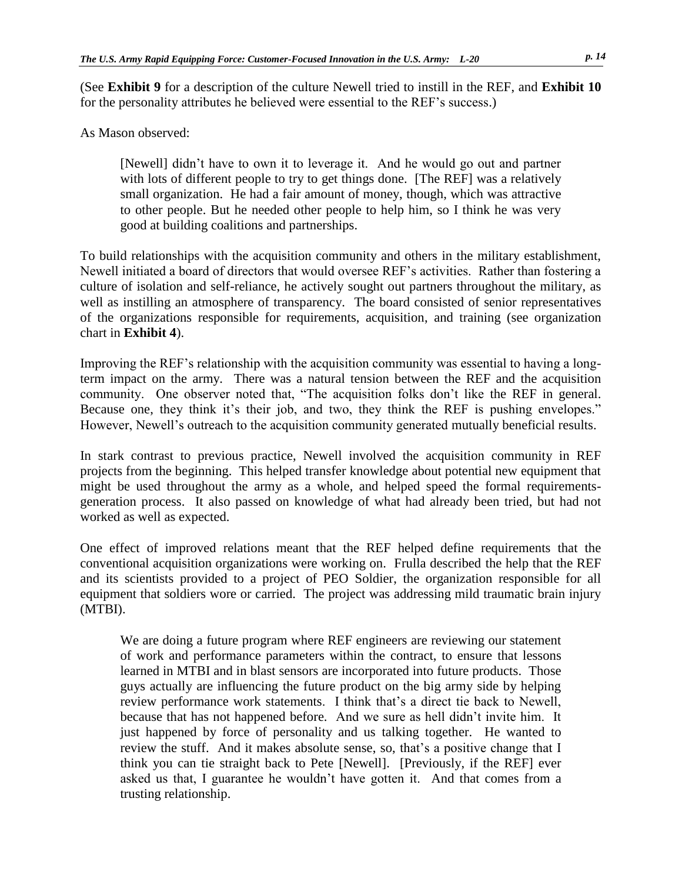(See **Exhibit 9** for a description of the culture Newell tried to instill in the REF, and **Exhibit 10** for the personality attributes he believed were essential to the REF's success.)

As Mason observed:

[Newell] didn't have to own it to leverage it. And he would go out and partner with lots of different people to try to get things done. [The REF] was a relatively small organization. He had a fair amount of money, though, which was attractive to other people. But he needed other people to help him, so I think he was very good at building coalitions and partnerships.

To build relationships with the acquisition community and others in the military establishment, Newell initiated a board of directors that would oversee REF's activities. Rather than fostering a culture of isolation and self-reliance, he actively sought out partners throughout the military, as well as instilling an atmosphere of transparency. The board consisted of senior representatives of the organizations responsible for requirements, acquisition, and training (see organization chart in **Exhibit 4**).

Improving the REF's relationship with the acquisition community was essential to having a longterm impact on the army. There was a natural tension between the REF and the acquisition community. One observer noted that, "The acquisition folks don't like the REF in general. Because one, they think it's their job, and two, they think the REF is pushing envelopes." However, Newell's outreach to the acquisition community generated mutually beneficial results.

In stark contrast to previous practice, Newell involved the acquisition community in REF projects from the beginning. This helped transfer knowledge about potential new equipment that might be used throughout the army as a whole, and helped speed the formal requirementsgeneration process. It also passed on knowledge of what had already been tried, but had not worked as well as expected.

One effect of improved relations meant that the REF helped define requirements that the conventional acquisition organizations were working on. Frulla described the help that the REF and its scientists provided to a project of PEO Soldier, the organization responsible for all equipment that soldiers wore or carried. The project was addressing mild traumatic brain injury (MTBI).

We are doing a future program where REF engineers are reviewing our statement of work and performance parameters within the contract, to ensure that lessons learned in MTBI and in blast sensors are incorporated into future products. Those guys actually are influencing the future product on the big army side by helping review performance work statements. I think that's a direct tie back to Newell, because that has not happened before. And we sure as hell didn't invite him. It just happened by force of personality and us talking together. He wanted to review the stuff. And it makes absolute sense, so, that's a positive change that I think you can tie straight back to Pete [Newell]. [Previously, if the REF] ever asked us that, I guarantee he wouldn't have gotten it. And that comes from a trusting relationship.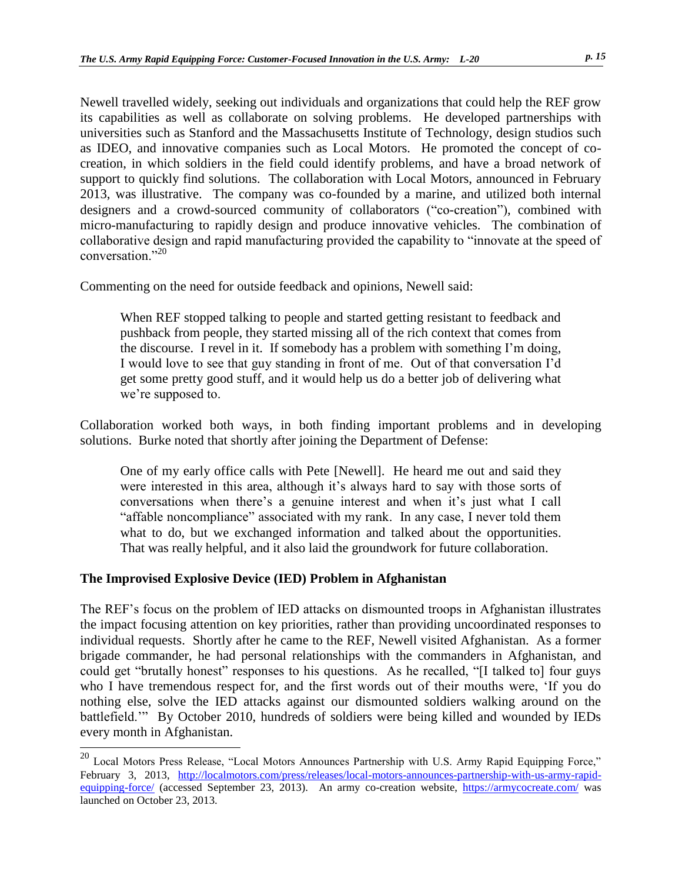Newell travelled widely, seeking out individuals and organizations that could help the REF grow its capabilities as well as collaborate on solving problems. He developed partnerships with universities such as Stanford and the Massachusetts Institute of Technology, design studios such as IDEO, and innovative companies such as Local Motors. He promoted the concept of cocreation, in which soldiers in the field could identify problems, and have a broad network of support to quickly find solutions. The collaboration with Local Motors, announced in February 2013, was illustrative. The company was co-founded by a marine, and utilized both internal designers and a crowd-sourced community of collaborators ("co-creation"), combined with micro-manufacturing to rapidly design and produce innovative vehicles. The combination of collaborative design and rapid manufacturing provided the capability to "innovate at the speed of conversation."<sup>20</sup>

Commenting on the need for outside feedback and opinions, Newell said:

When REF stopped talking to people and started getting resistant to feedback and pushback from people, they started missing all of the rich context that comes from the discourse. I revel in it. If somebody has a problem with something I'm doing, I would love to see that guy standing in front of me. Out of that conversation I'd get some pretty good stuff, and it would help us do a better job of delivering what we're supposed to.

Collaboration worked both ways, in both finding important problems and in developing solutions. Burke noted that shortly after joining the Department of Defense:

One of my early office calls with Pete [Newell]. He heard me out and said they were interested in this area, although it's always hard to say with those sorts of conversations when there's a genuine interest and when it's just what I call "affable noncompliance" associated with my rank. In any case, I never told them what to do, but we exchanged information and talked about the opportunities. That was really helpful, and it also laid the groundwork for future collaboration.

#### **The Improvised Explosive Device (IED) Problem in Afghanistan**

l

The REF's focus on the problem of IED attacks on dismounted troops in Afghanistan illustrates the impact focusing attention on key priorities, rather than providing uncoordinated responses to individual requests. Shortly after he came to the REF, Newell visited Afghanistan. As a former brigade commander, he had personal relationships with the commanders in Afghanistan, and could get "brutally honest" responses to his questions. As he recalled, "[I talked to] four guys who I have tremendous respect for, and the first words out of their mouths were, 'If you do nothing else, solve the IED attacks against our dismounted soldiers walking around on the battlefield.'" By October 2010, hundreds of soldiers were being killed and wounded by IEDs every month in Afghanistan.

 $^{20}$  Local Motors Press Release, "Local Motors Announces Partnership with U.S. Army Rapid Equipping Force," February 3, 2013, [http://localmotors.com/press/releases/local-motors-announces-partnership-with-us-army-rapid](http://localmotors.com/press/releases/local-motors-announces-partnership-with-us-army-rapid-equipping-force/)[equipping-force/](http://localmotors.com/press/releases/local-motors-announces-partnership-with-us-army-rapid-equipping-force/) (accessed September 23, 2013). An army co-creation website,<https://armycocreate.com/> was launched on October 23, 2013.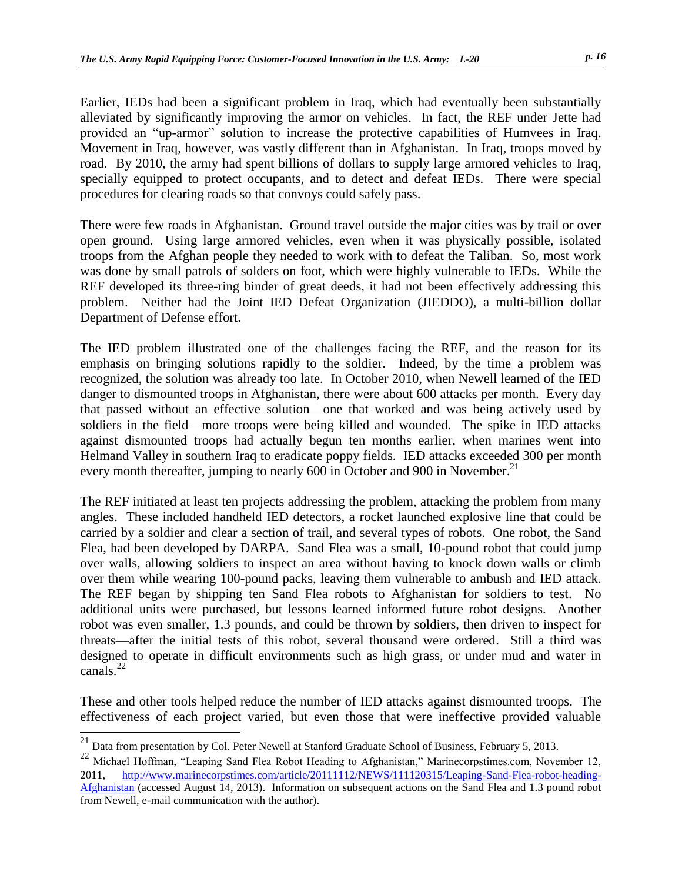Earlier, IEDs had been a significant problem in Iraq, which had eventually been substantially alleviated by significantly improving the armor on vehicles. In fact, the REF under Jette had provided an "up-armor" solution to increase the protective capabilities of Humvees in Iraq. Movement in Iraq, however, was vastly different than in Afghanistan. In Iraq, troops moved by road. By 2010, the army had spent billions of dollars to supply large armored vehicles to Iraq, specially equipped to protect occupants, and to detect and defeat IEDs. There were special procedures for clearing roads so that convoys could safely pass.

There were few roads in Afghanistan. Ground travel outside the major cities was by trail or over open ground. Using large armored vehicles, even when it was physically possible, isolated troops from the Afghan people they needed to work with to defeat the Taliban. So, most work was done by small patrols of solders on foot, which were highly vulnerable to IEDs. While the REF developed its three-ring binder of great deeds, it had not been effectively addressing this problem. Neither had the Joint IED Defeat Organization (JIEDDO), a multi-billion dollar Department of Defense effort.

The IED problem illustrated one of the challenges facing the REF, and the reason for its emphasis on bringing solutions rapidly to the soldier. Indeed, by the time a problem was recognized, the solution was already too late. In October 2010, when Newell learned of the IED danger to dismounted troops in Afghanistan, there were about 600 attacks per month. Every day that passed without an effective solution—one that worked and was being actively used by soldiers in the field—more troops were being killed and wounded. The spike in IED attacks against dismounted troops had actually begun ten months earlier, when marines went into Helmand Valley in southern Iraq to eradicate poppy fields. IED attacks exceeded 300 per month every month thereafter, jumping to nearly  $600$  in October and 900 in November.<sup>21</sup>

The REF initiated at least ten projects addressing the problem, attacking the problem from many angles. These included handheld IED detectors, a rocket launched explosive line that could be carried by a soldier and clear a section of trail, and several types of robots. One robot, the Sand Flea, had been developed by DARPA. Sand Flea was a small, 10-pound robot that could jump over walls, allowing soldiers to inspect an area without having to knock down walls or climb over them while wearing 100-pound packs, leaving them vulnerable to ambush and IED attack. The REF began by shipping ten Sand Flea robots to Afghanistan for soldiers to test. No additional units were purchased, but lessons learned informed future robot designs. Another robot was even smaller, 1.3 pounds, and could be thrown by soldiers, then driven to inspect for threats—after the initial tests of this robot, several thousand were ordered. Still a third was designed to operate in difficult environments such as high grass, or under mud and water in canals.<sup>22</sup>

These and other tools helped reduce the number of IED attacks against dismounted troops. The effectiveness of each project varied, but even those that were ineffective provided valuable

 $^{21}$  Data from presentation by Col. Peter Newell at Stanford Graduate School of Business, February 5, 2013.

<sup>&</sup>lt;sup>22</sup> Michael Hoffman, "Leaping Sand Flea Robot Heading to Afghanistan," Marinecorpstimes.com, November 12, 2011, [http://www.marinecorpstimes.com/article/20111112/NEWS/111120315/Leaping-Sand-Flea-robot-heading-](http://www.marinecorpstimes.com/article/20111112/NEWS/111120315/Leaping-Sand-Flea-robot-heading-Afghanistan)[Afghanistan](http://www.marinecorpstimes.com/article/20111112/NEWS/111120315/Leaping-Sand-Flea-robot-heading-Afghanistan) (accessed August 14, 2013). Information on subsequent actions on the Sand Flea and 1.3 pound robot from Newell, e-mail communication with the author).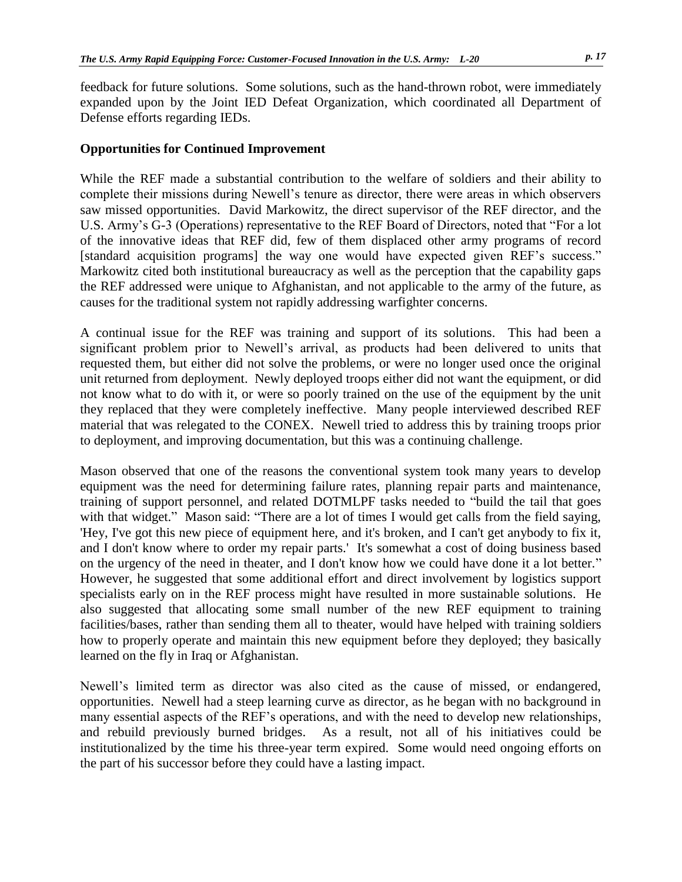feedback for future solutions. Some solutions, such as the hand-thrown robot, were immediately expanded upon by the Joint IED Defeat Organization, which coordinated all Department of Defense efforts regarding IEDs.

#### **Opportunities for Continued Improvement**

While the REF made a substantial contribution to the welfare of soldiers and their ability to complete their missions during Newell's tenure as director, there were areas in which observers saw missed opportunities. David Markowitz, the direct supervisor of the REF director, and the U.S. Army's G-3 (Operations) representative to the REF Board of Directors, noted that "For a lot of the innovative ideas that REF did, few of them displaced other army programs of record [standard acquisition programs] the way one would have expected given REF's success." Markowitz cited both institutional bureaucracy as well as the perception that the capability gaps the REF addressed were unique to Afghanistan, and not applicable to the army of the future, as causes for the traditional system not rapidly addressing warfighter concerns.

A continual issue for the REF was training and support of its solutions. This had been a significant problem prior to Newell's arrival, as products had been delivered to units that requested them, but either did not solve the problems, or were no longer used once the original unit returned from deployment. Newly deployed troops either did not want the equipment, or did not know what to do with it, or were so poorly trained on the use of the equipment by the unit they replaced that they were completely ineffective. Many people interviewed described REF material that was relegated to the CONEX. Newell tried to address this by training troops prior to deployment, and improving documentation, but this was a continuing challenge.

Mason observed that one of the reasons the conventional system took many years to develop equipment was the need for determining failure rates, planning repair parts and maintenance, training of support personnel, and related DOTMLPF tasks needed to "build the tail that goes with that widget." Mason said: "There are a lot of times I would get calls from the field saying, 'Hey, I've got this new piece of equipment here, and it's broken, and I can't get anybody to fix it, and I don't know where to order my repair parts.' It's somewhat a cost of doing business based on the urgency of the need in theater, and I don't know how we could have done it a lot better." However, he suggested that some additional effort and direct involvement by logistics support specialists early on in the REF process might have resulted in more sustainable solutions. He also suggested that allocating some small number of the new REF equipment to training facilities/bases, rather than sending them all to theater, would have helped with training soldiers how to properly operate and maintain this new equipment before they deployed; they basically learned on the fly in Iraq or Afghanistan.

Newell's limited term as director was also cited as the cause of missed, or endangered, opportunities. Newell had a steep learning curve as director, as he began with no background in many essential aspects of the REF's operations, and with the need to develop new relationships, and rebuild previously burned bridges. As a result, not all of his initiatives could be institutionalized by the time his three-year term expired. Some would need ongoing efforts on the part of his successor before they could have a lasting impact.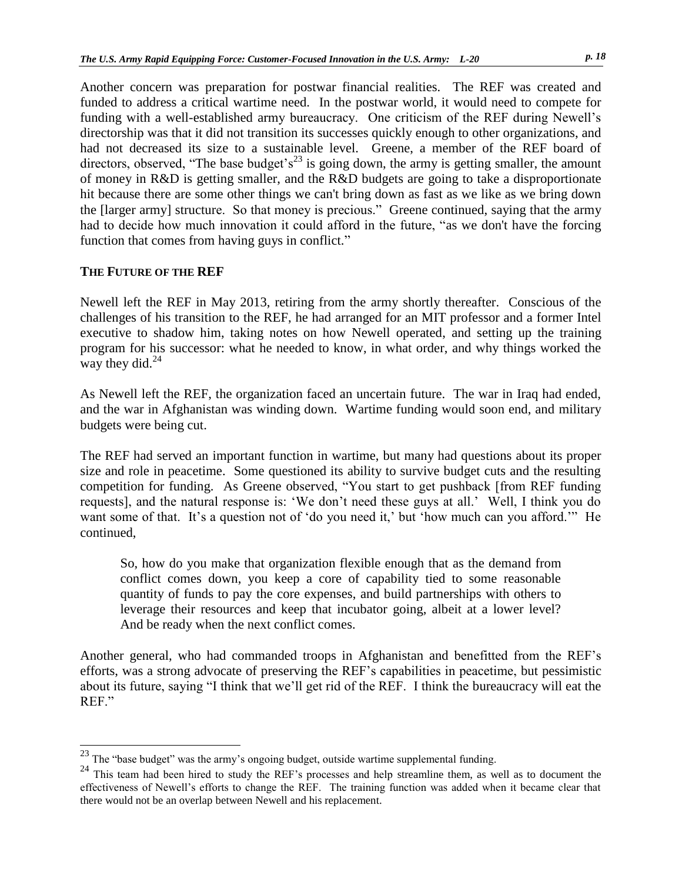Another concern was preparation for postwar financial realities. The REF was created and funded to address a critical wartime need. In the postwar world, it would need to compete for funding with a well-established army bureaucracy. One criticism of the REF during Newell's directorship was that it did not transition its successes quickly enough to other organizations, and had not decreased its size to a sustainable level. Greene, a member of the REF board of directors, observed, "The base budget's<sup>23</sup> is going down, the army is getting smaller, the amount of money in R&D is getting smaller, and the R&D budgets are going to take a disproportionate hit because there are some other things we can't bring down as fast as we like as we bring down the [larger army] structure. So that money is precious." Greene continued, saying that the army had to decide how much innovation it could afford in the future, "as we don't have the forcing function that comes from having guys in conflict."

#### **THE FUTURE OF THE REF**

l

Newell left the REF in May 2013, retiring from the army shortly thereafter. Conscious of the challenges of his transition to the REF, he had arranged for an MIT professor and a former Intel executive to shadow him, taking notes on how Newell operated, and setting up the training program for his successor: what he needed to know, in what order, and why things worked the way they did. $^{24}$ 

As Newell left the REF, the organization faced an uncertain future. The war in Iraq had ended, and the war in Afghanistan was winding down. Wartime funding would soon end, and military budgets were being cut.

The REF had served an important function in wartime, but many had questions about its proper size and role in peacetime. Some questioned its ability to survive budget cuts and the resulting competition for funding. As Greene observed, "You start to get pushback [from REF funding requests], and the natural response is: 'We don't need these guys at all.' Well, I think you do want some of that. It's a question not of 'do you need it,' but 'how much can you afford.'" He continued,

So, how do you make that organization flexible enough that as the demand from conflict comes down, you keep a core of capability tied to some reasonable quantity of funds to pay the core expenses, and build partnerships with others to leverage their resources and keep that incubator going, albeit at a lower level? And be ready when the next conflict comes.

Another general, who had commanded troops in Afghanistan and benefitted from the REF's efforts, was a strong advocate of preserving the REF's capabilities in peacetime, but pessimistic about its future, saying "I think that we'll get rid of the REF. I think the bureaucracy will eat the REF."

<sup>&</sup>lt;sup>23</sup> The "base budget" was the army's ongoing budget, outside wartime supplemental funding.

<sup>&</sup>lt;sup>24</sup> This team had been hired to study the REF's processes and help streamline them, as well as to document the effectiveness of Newell's efforts to change the REF. The training function was added when it became clear that there would not be an overlap between Newell and his replacement.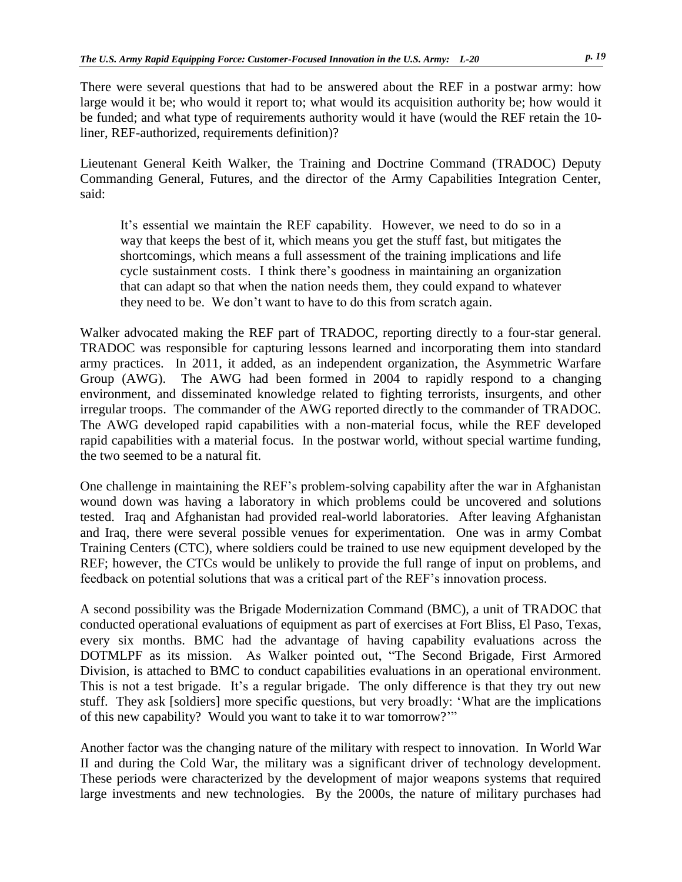There were several questions that had to be answered about the REF in a postwar army: how large would it be; who would it report to; what would its acquisition authority be; how would it be funded; and what type of requirements authority would it have (would the REF retain the 10 liner, REF-authorized, requirements definition)?

Lieutenant General Keith Walker, the Training and Doctrine Command (TRADOC) Deputy Commanding General, Futures, and the director of the Army Capabilities Integration Center, said:

It's essential we maintain the REF capability. However, we need to do so in a way that keeps the best of it, which means you get the stuff fast, but mitigates the shortcomings, which means a full assessment of the training implications and life cycle sustainment costs. I think there's goodness in maintaining an organization that can adapt so that when the nation needs them, they could expand to whatever they need to be. We don't want to have to do this from scratch again.

Walker advocated making the REF part of TRADOC, reporting directly to a four-star general. TRADOC was responsible for capturing lessons learned and incorporating them into standard army practices. In 2011, it added, as an independent organization, the Asymmetric Warfare Group (AWG). The AWG had been formed in 2004 to rapidly respond to a changing environment, and disseminated knowledge related to fighting terrorists, insurgents, and other irregular troops. The commander of the AWG reported directly to the commander of TRADOC. The AWG developed rapid capabilities with a non-material focus, while the REF developed rapid capabilities with a material focus. In the postwar world, without special wartime funding, the two seemed to be a natural fit.

One challenge in maintaining the REF's problem-solving capability after the war in Afghanistan wound down was having a laboratory in which problems could be uncovered and solutions tested. Iraq and Afghanistan had provided real-world laboratories. After leaving Afghanistan and Iraq, there were several possible venues for experimentation. One was in army Combat Training Centers (CTC), where soldiers could be trained to use new equipment developed by the REF; however, the CTCs would be unlikely to provide the full range of input on problems, and feedback on potential solutions that was a critical part of the REF's innovation process.

A second possibility was the Brigade Modernization Command (BMC), a unit of TRADOC that conducted operational evaluations of equipment as part of exercises at Fort Bliss, El Paso, Texas, every six months. BMC had the advantage of having capability evaluations across the DOTMLPF as its mission. As Walker pointed out, "The Second Brigade, First Armored Division, is attached to BMC to conduct capabilities evaluations in an operational environment. This is not a test brigade. It's a regular brigade. The only difference is that they try out new stuff. They ask [soldiers] more specific questions, but very broadly: 'What are the implications of this new capability? Would you want to take it to war tomorrow?'"

Another factor was the changing nature of the military with respect to innovation. In World War II and during the Cold War, the military was a significant driver of technology development. These periods were characterized by the development of major weapons systems that required large investments and new technologies. By the 2000s, the nature of military purchases had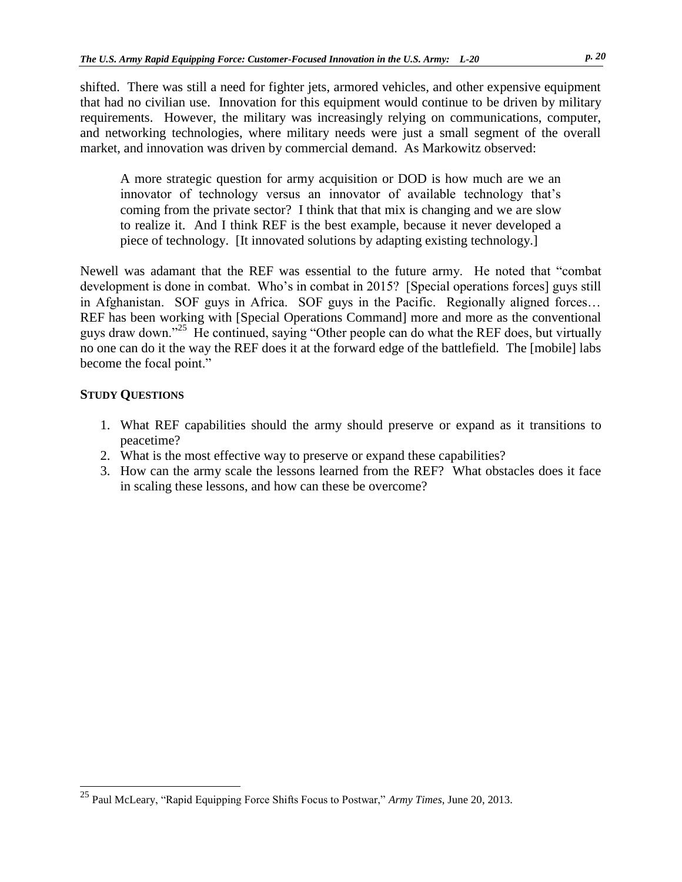shifted. There was still a need for fighter jets, armored vehicles, and other expensive equipment that had no civilian use. Innovation for this equipment would continue to be driven by military requirements. However, the military was increasingly relying on communications, computer, and networking technologies, where military needs were just a small segment of the overall market, and innovation was driven by commercial demand. As Markowitz observed:

A more strategic question for army acquisition or DOD is how much are we an innovator of technology versus an innovator of available technology that's coming from the private sector? I think that that mix is changing and we are slow to realize it. And I think REF is the best example, because it never developed a piece of technology. [It innovated solutions by adapting existing technology.]

Newell was adamant that the REF was essential to the future army. He noted that "combat development is done in combat. Who's in combat in 2015? [Special operations forces] guys still in Afghanistan. SOF guys in Africa. SOF guys in the Pacific. Regionally aligned forces… REF has been working with [Special Operations Command] more and more as the conventional guys draw down."<sup>25</sup> He continued, saying "Other people can do what the REF does, but virtually no one can do it the way the REF does it at the forward edge of the battlefield. The [mobile] labs become the focal point."

#### **STUDY QUESTIONS**

- 1. What REF capabilities should the army should preserve or expand as it transitions to peacetime?
- 2. What is the most effective way to preserve or expand these capabilities?
- 3. How can the army scale the lessons learned from the REF? What obstacles does it face in scaling these lessons, and how can these be overcome?

<sup>25</sup> Paul McLeary, "Rapid Equipping Force Shifts Focus to Postwar," *Army Times*, June 20, 2013.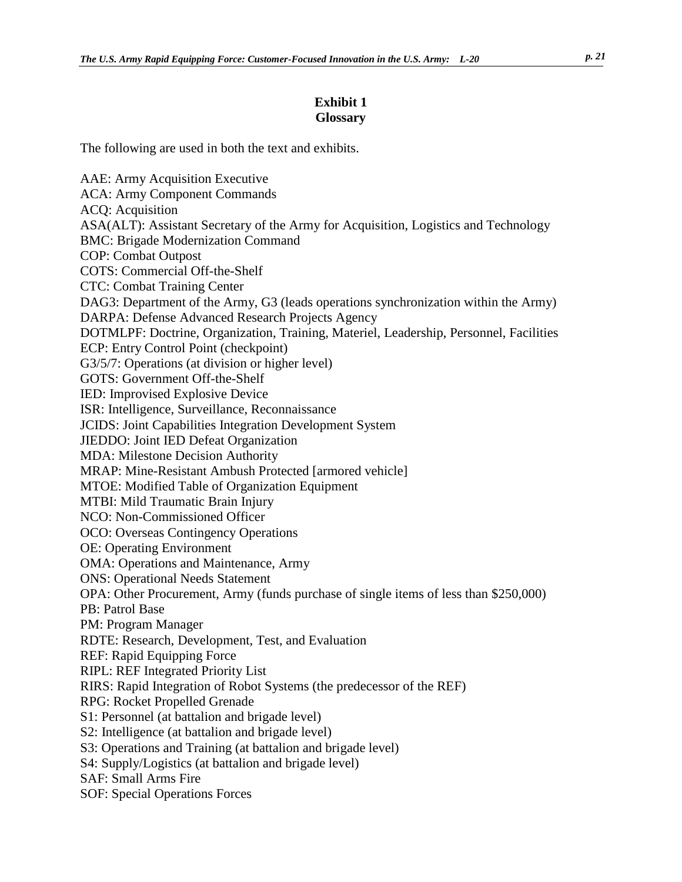## **Exhibit 1 Glossary**

The following are used in both the text and exhibits.

AAE: Army Acquisition Executive ACA: Army Component Commands ACQ: Acquisition ASA(ALT): Assistant Secretary of the Army for Acquisition, Logistics and Technology BMC: Brigade Modernization Command COP: Combat Outpost COTS: Commercial Off-the-Shelf CTC: Combat Training Center DAG3: Department of the Army, G3 (leads operations synchronization within the Army) DARPA: Defense Advanced Research Projects Agency DOTMLPF: Doctrine, Organization, Training, Materiel, Leadership, Personnel, Facilities ECP: Entry Control Point (checkpoint) G3/5/7: Operations (at division or higher level) GOTS: Government Off-the-Shelf IED: Improvised Explosive Device ISR: Intelligence, Surveillance, Reconnaissance JCIDS: Joint Capabilities Integration Development System JIEDDO: Joint IED Defeat Organization MDA: Milestone Decision Authority MRAP: Mine-Resistant Ambush Protected [armored vehicle] MTOE: Modified Table of Organization Equipment MTBI: Mild Traumatic Brain Injury NCO: Non-Commissioned Officer OCO: Overseas Contingency Operations OE: Operating Environment OMA: Operations and Maintenance, Army ONS: Operational Needs Statement OPA: Other Procurement, Army (funds purchase of single items of less than \$250,000) PB: Patrol Base PM: Program Manager RDTE: Research, Development, Test, and Evaluation REF: Rapid Equipping Force RIPL: REF Integrated Priority List RIRS: Rapid Integration of Robot Systems (the predecessor of the REF) RPG: Rocket Propelled Grenade S1: Personnel (at battalion and brigade level) S2: Intelligence (at battalion and brigade level) S3: Operations and Training (at battalion and brigade level) S4: Supply/Logistics (at battalion and brigade level) SAF: Small Arms Fire SOF: Special Operations Forces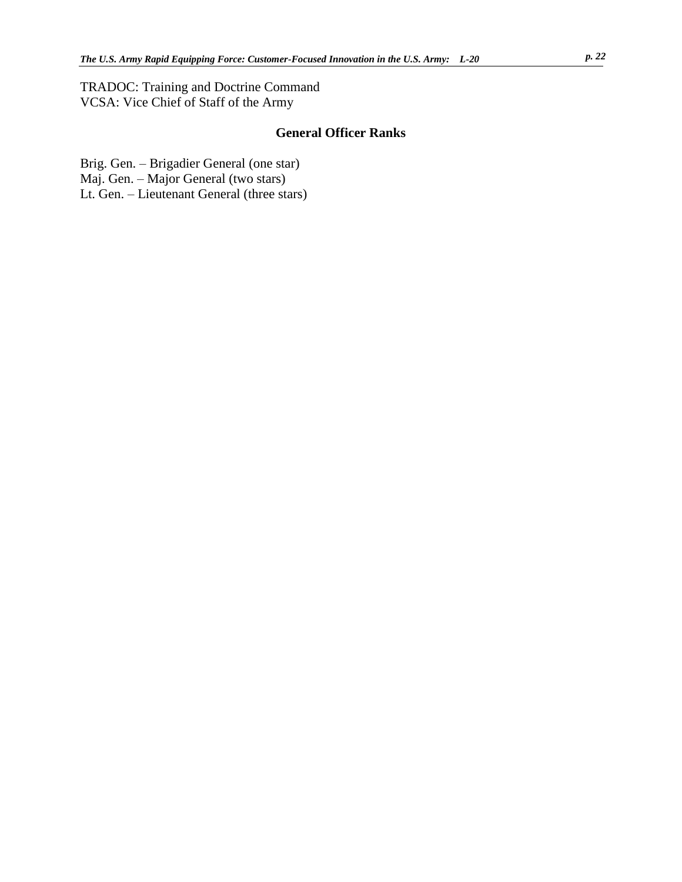TRADOC: Training and Doctrine Command VCSA: Vice Chief of Staff of the Army

#### **General Officer Ranks**

Brig. Gen. – Brigadier General (one star)

Maj. Gen. – Major General (two stars)

Lt. Gen. – Lieutenant General (three stars)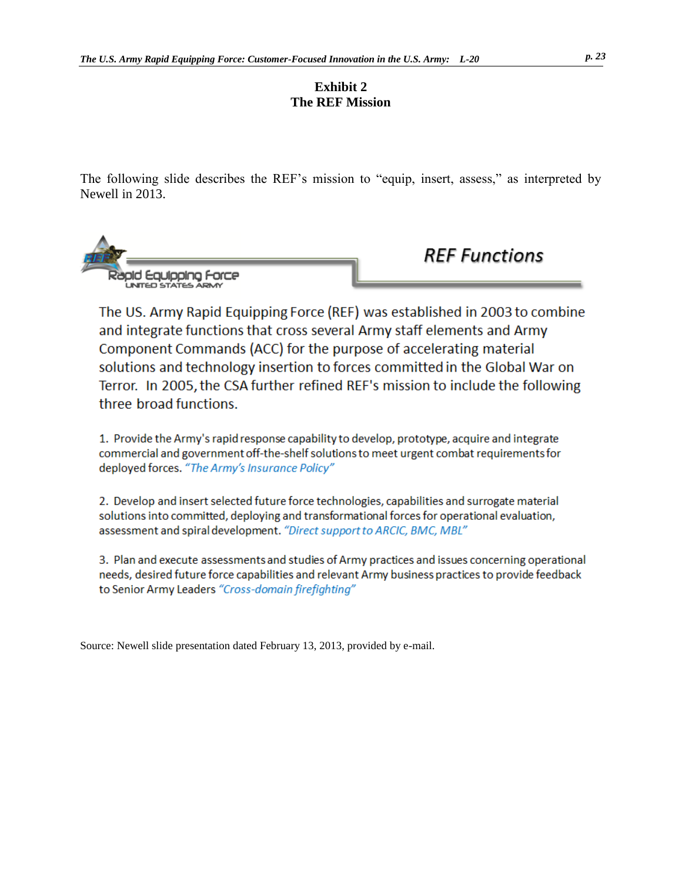# **Exhibit 2 The REF Mission**

The following slide describes the REF's mission to "equip, insert, assess," as interpreted by Newell in 2013.



**REF Functions** 

The US. Army Rapid Equipping Force (REF) was established in 2003 to combine and integrate functions that cross several Army staff elements and Army Component Commands (ACC) for the purpose of accelerating material solutions and technology insertion to forces committed in the Global War on Terror. In 2005, the CSA further refined REF's mission to include the following three broad functions.

1. Provide the Army's rapid response capability to develop, prototype, acquire and integrate commercial and government off-the-shelf solutions to meet urgent combat requirements for deployed forces. "The Army's Insurance Policy"

2. Develop and insert selected future force technologies, capabilities and surrogate material solutions into committed, deploying and transformational forces for operational evaluation, assessment and spiral development. "Direct support to ARCIC, BMC, MBL"

3. Plan and execute assessments and studies of Army practices and issues concerning operational needs, desired future force capabilities and relevant Army business practices to provide feedback to Senior Army Leaders "Cross-domain firefighting"

Source: Newell slide presentation dated February 13, 2013, provided by e-mail.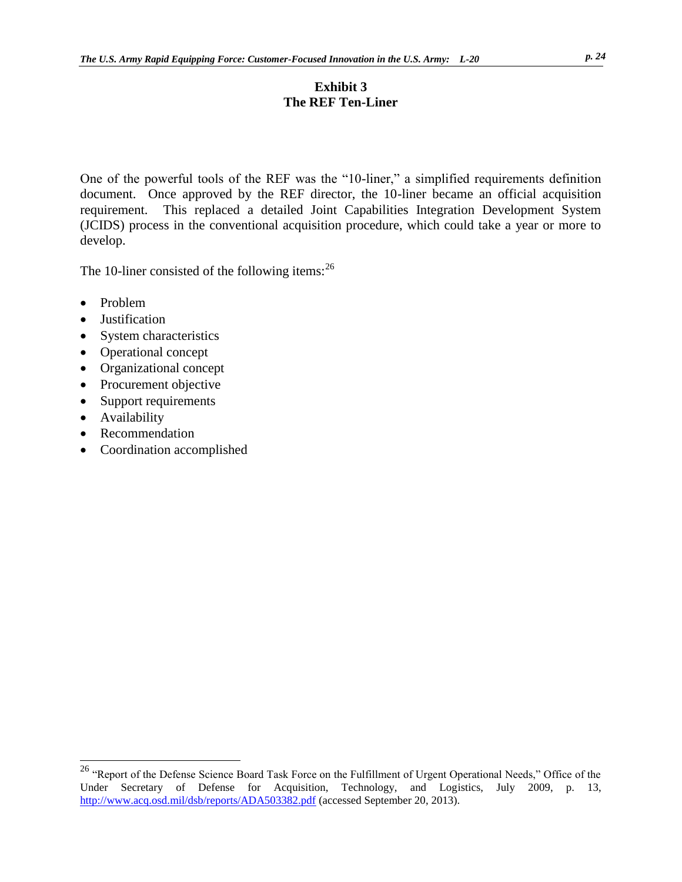## **Exhibit 3 The REF Ten-Liner**

One of the powerful tools of the REF was the "10-liner," a simplified requirements definition document. Once approved by the REF director, the 10-liner became an official acquisition requirement. This replaced a detailed Joint Capabilities Integration Development System (JCIDS) process in the conventional acquisition procedure, which could take a year or more to develop.

The 10-liner consisted of the following items:  $26$ 

- Problem
- Justification
- System characteristics
- Operational concept
- Organizational concept
- Procurement objective
- Support requirements
- Availability

- Recommendation
- Coordination accomplished

<sup>&</sup>lt;sup>26</sup> "Report of the Defense Science Board Task Force on the Fulfillment of Urgent Operational Needs," Office of the Under Secretary of Defense for Acquisition, Technology, and Logistics, July 2009, p. 13, <http://www.acq.osd.mil/dsb/reports/ADA503382.pdf> (accessed September 20, 2013).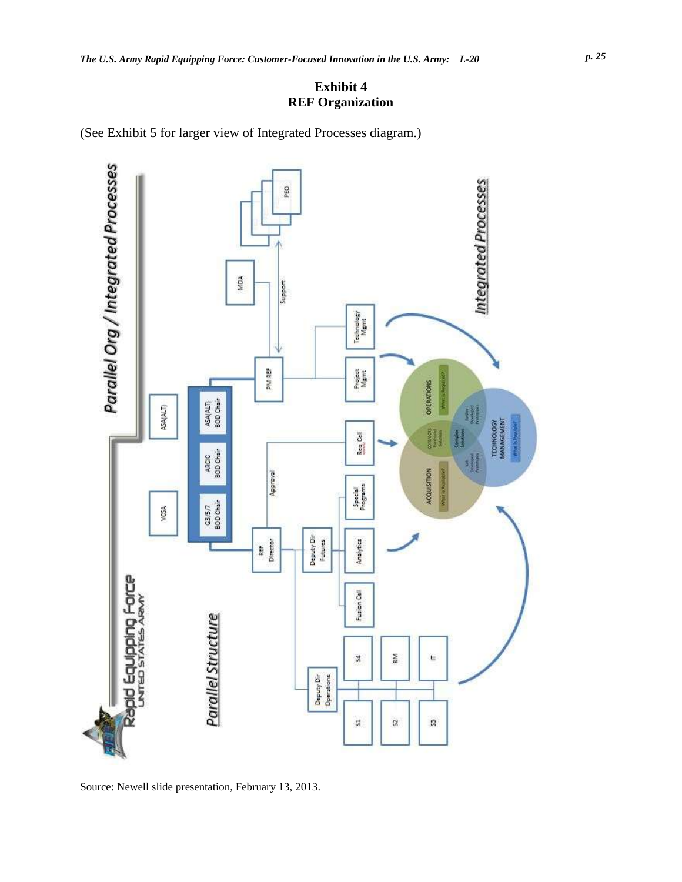**Exhibit 4 REF Organization**

(See Exhibit 5 for larger view of Integrated Processes diagram.)



Source: Newell slide presentation, February 13, 2013.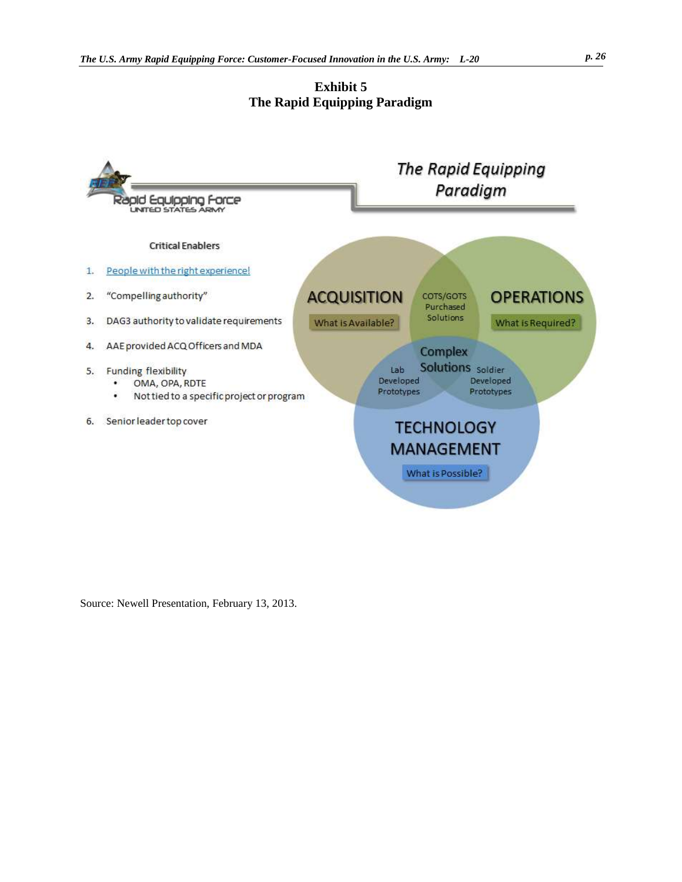**Exhibit 5 The Rapid Equipping Paradigm**



Source: Newell Presentation, February 13, 2013.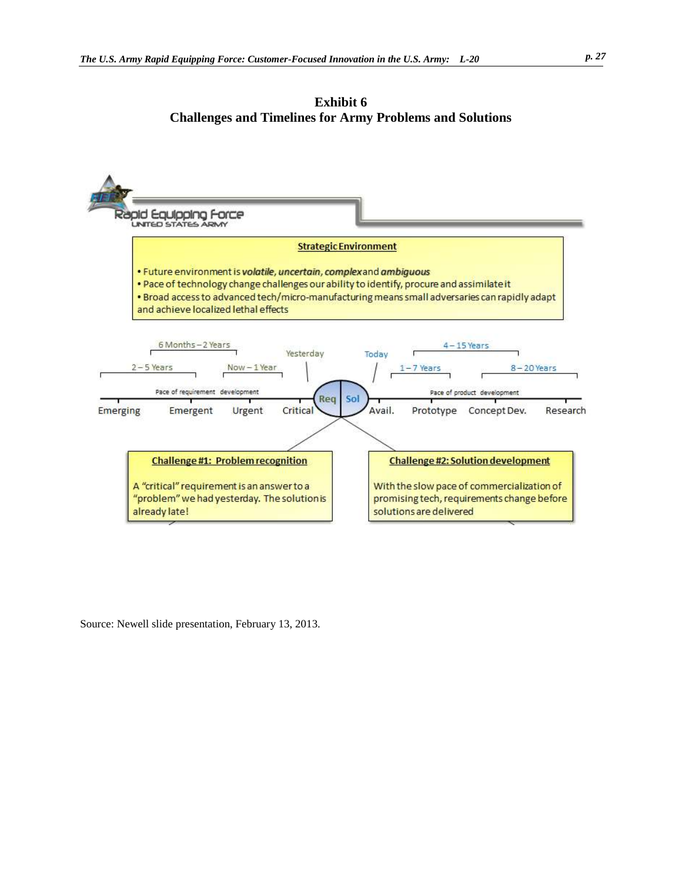**Exhibit 6 Challenges and Timelines for Army Problems and Solutions**



Source: Newell slide presentation, February 13, 2013.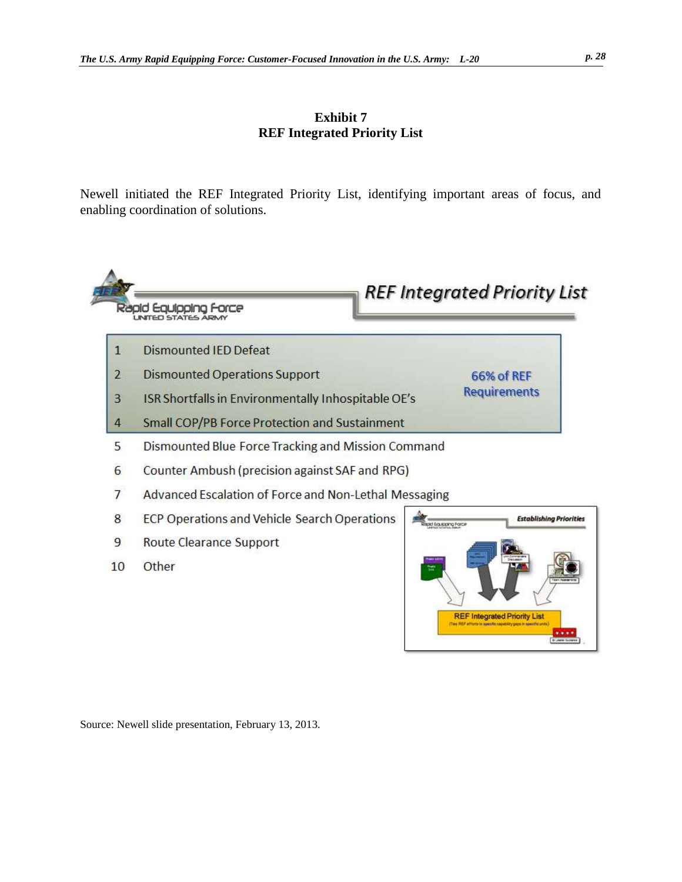## **Exhibit 7 REF Integrated Priority List**

Newell initiated the REF Integrated Priority List, identifying important areas of focus, and enabling coordination of solutions.



Source: Newell slide presentation, February 13, 2013.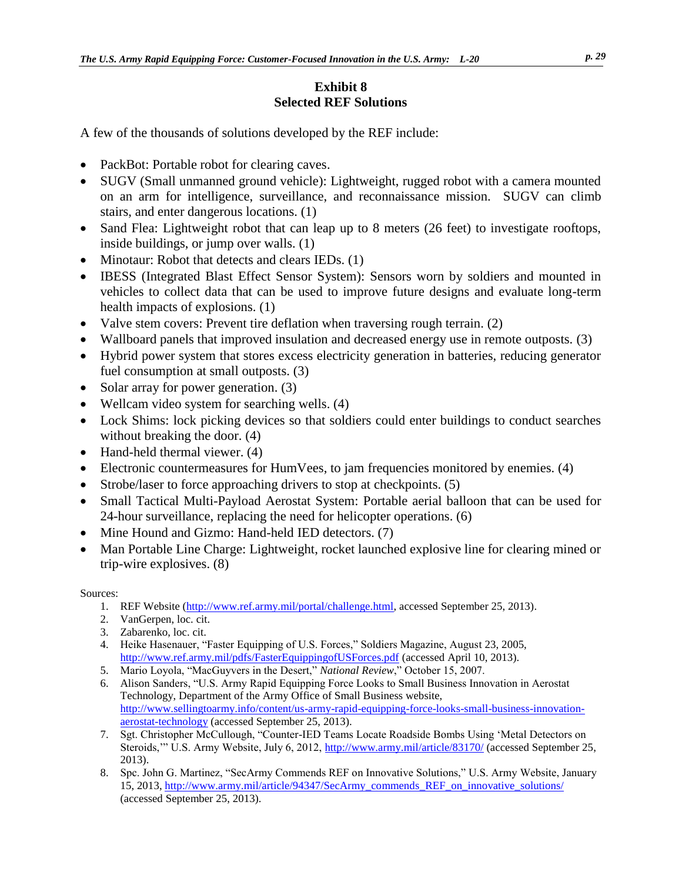# **Exhibit 8 Selected REF Solutions**

A few of the thousands of solutions developed by the REF include:

- PackBot: Portable robot for clearing caves.
- SUGV (Small unmanned ground vehicle): Lightweight, rugged robot with a camera mounted on an arm for intelligence, surveillance, and reconnaissance mission. SUGV can climb stairs, and enter dangerous locations. (1)
- Sand Flea: Lightweight robot that can leap up to 8 meters (26 feet) to investigate rooftops, inside buildings, or jump over walls. (1)
- Minotaur: Robot that detects and clears IEDs. (1)
- IBESS (Integrated Blast Effect Sensor System): Sensors worn by soldiers and mounted in vehicles to collect data that can be used to improve future designs and evaluate long-term health impacts of explosions. (1)
- Valve stem covers: Prevent tire deflation when traversing rough terrain. (2)
- Wallboard panels that improved insulation and decreased energy use in remote outposts. (3)
- Hybrid power system that stores excess electricity generation in batteries, reducing generator fuel consumption at small outposts. (3)
- Solar array for power generation. (3)
- Wellcam video system for searching wells. (4)
- Lock Shims: lock picking devices so that soldiers could enter buildings to conduct searches without breaking the door. (4)
- $\bullet$  Hand-held thermal viewer. (4)
- Electronic countermeasures for HumVees, to jam frequencies monitored by enemies. (4)
- Strobe/laser to force approaching drivers to stop at checkpoints. (5)
- Small Tactical Multi-Payload Aerostat System: Portable aerial balloon that can be used for 24-hour surveillance, replacing the need for helicopter operations. (6)
- Mine Hound and Gizmo: Hand-held IED detectors. (7)
- Man Portable Line Charge: Lightweight, rocket launched explosive line for clearing mined or trip-wire explosives. (8)

Sources:

- 1. REF Website [\(http://www.ref.army.mil/portal/challenge.html,](http://www.ref.army.mil/portal/challenge.html) accessed September 25, 2013).
- 2. VanGerpen, loc. cit.
- 3. Zabarenko, loc. cit.
- 4. Heike Hasenauer, "Faster Equipping of U.S. Forces," Soldiers Magazine, August 23, 2005, <http://www.ref.army.mil/pdfs/FasterEquippingofUSForces.pdf> (accessed April 10, 2013).
- 5. Mario Loyola, "MacGuyvers in the Desert," *National Review*," October 15, 2007.
- 6. Alison Sanders, "U.S. Army Rapid Equipping Force Looks to Small Business Innovation in Aerostat Technology, Department of the Army Office of Small Business website, [http://www.sellingtoarmy.info/content/us-army-rapid-equipping-force-looks-small-business-innovation](http://www.sellingtoarmy.info/content/us-army-rapid-equipping-force-looks-small-business-innovation-aerostat-technology)[aerostat-technology](http://www.sellingtoarmy.info/content/us-army-rapid-equipping-force-looks-small-business-innovation-aerostat-technology) (accessed September 25, 2013).
- 7. Sgt. Christopher McCullough, "Counter-IED Teams Locate Roadside Bombs Using 'Metal Detectors on Steroids," U.S. Army Website, July 6, 2012,<http://www.army.mil/article/83170/> (accessed September 25, 2013).
- 8. Spc. John G. Martinez, "SecArmy Commends REF on Innovative Solutions," U.S. Army Website, January 15, 2013, [http://www.army.mil/article/94347/SecArmy\\_commends\\_REF\\_on\\_innovative\\_solutions/](http://www.army.mil/article/94347/SecArmy_commends_REF_on_innovative_solutions/) (accessed September 25, 2013).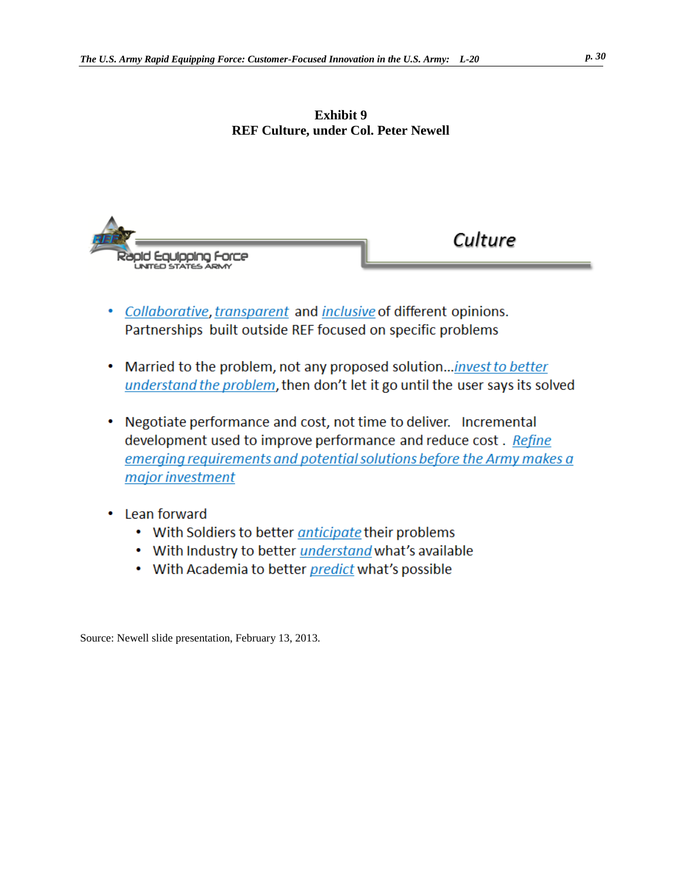



- Collaborative, transparent and *inclusive* of different opinions. Partnerships built outside REF focused on specific problems
- Married to the problem, not any proposed solution...*invest to better* understand the problem, then don't let it go until the user says its solved
- Negotiate performance and cost, not time to deliver. Incremental development used to improve performance and reduce cost. Refine emerging requirements and potential solutions before the Army makes a major investment
- Lean forward
	- With Soldiers to better *anticipate* their problems
	- With Industry to better *understand* what's available
	- With Academia to better *predict* what's possible

Source: Newell slide presentation, February 13, 2013.